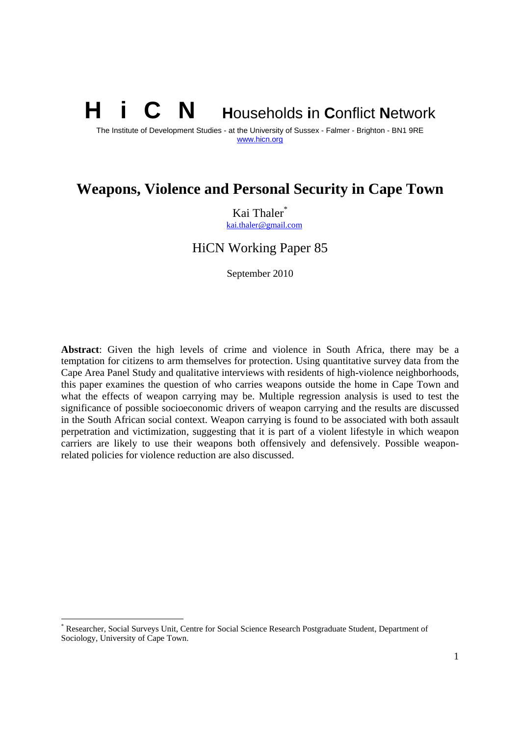# **N** Households in Conflict Network

The Institute of Development Studies - at the University of Sussex - Falmer - Brighton - BN1 9RE www.hicn.org

## **Weapons, Violence and Personal Security in Cape Town**

Kai Thaler<sup>\*</sup> kai.thaler@gmail.com

### HiCN Working Paper 85

September 2010

**Abstract**: Given the high levels of crime and violence in South Africa, there may be a temptation for citizens to arm themselves for protection. Using quantitative survey data from the Cape Area Panel Study and qualitative interviews with residents of high-violence neighborhoods, this paper examines the question of who carries weapons outside the home in Cape Town and what the effects of weapon carrying may be. Multiple regression analysis is used to test the significance of possible socioeconomic drivers of weapon carrying and the results are discussed in the South African social context. Weapon carrying is found to be associated with both assault perpetration and victimization, suggesting that it is part of a violent lifestyle in which weapon carriers are likely to use their weapons both offensively and defensively. Possible weaponrelated policies for violence reduction are also discussed.

<sup>\*</sup> Researcher, Social Surveys Unit, Centre for Social Science Research Postgraduate Student, Department of Sociology, University of Cape Town.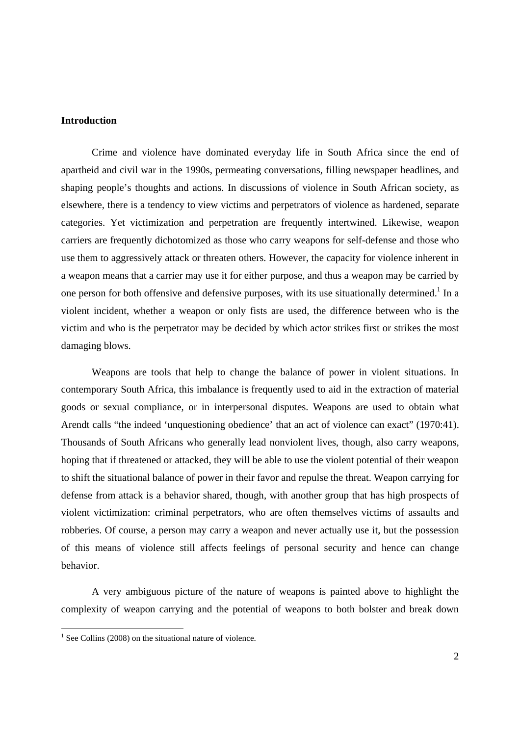#### **Introduction**

Crime and violence have dominated everyday life in South Africa since the end of apartheid and civil war in the 1990s, permeating conversations, filling newspaper headlines, and shaping people's thoughts and actions. In discussions of violence in South African society, as elsewhere, there is a tendency to view victims and perpetrators of violence as hardened, separate categories. Yet victimization and perpetration are frequently intertwined. Likewise, weapon carriers are frequently dichotomized as those who carry weapons for self-defense and those who use them to aggressively attack or threaten others. However, the capacity for violence inherent in a weapon means that a carrier may use it for either purpose, and thus a weapon may be carried by one person for both offensive and defensive purposes, with its use situationally determined.<sup>1</sup> In a violent incident, whether a weapon or only fists are used, the difference between who is the victim and who is the perpetrator may be decided by which actor strikes first or strikes the most damaging blows.

 Weapons are tools that help to change the balance of power in violent situations. In contemporary South Africa, this imbalance is frequently used to aid in the extraction of material goods or sexual compliance, or in interpersonal disputes. Weapons are used to obtain what Arendt calls "the indeed 'unquestioning obedience' that an act of violence can exact" (1970:41). Thousands of South Africans who generally lead nonviolent lives, though, also carry weapons, hoping that if threatened or attacked, they will be able to use the violent potential of their weapon to shift the situational balance of power in their favor and repulse the threat. Weapon carrying for defense from attack is a behavior shared, though, with another group that has high prospects of violent victimization: criminal perpetrators, who are often themselves victims of assaults and robberies. Of course, a person may carry a weapon and never actually use it, but the possession of this means of violence still affects feelings of personal security and hence can change behavior.

 A very ambiguous picture of the nature of weapons is painted above to highlight the complexity of weapon carrying and the potential of weapons to both bolster and break down

<sup>&</sup>lt;sup>1</sup> See Collins (2008) on the situational nature of violence.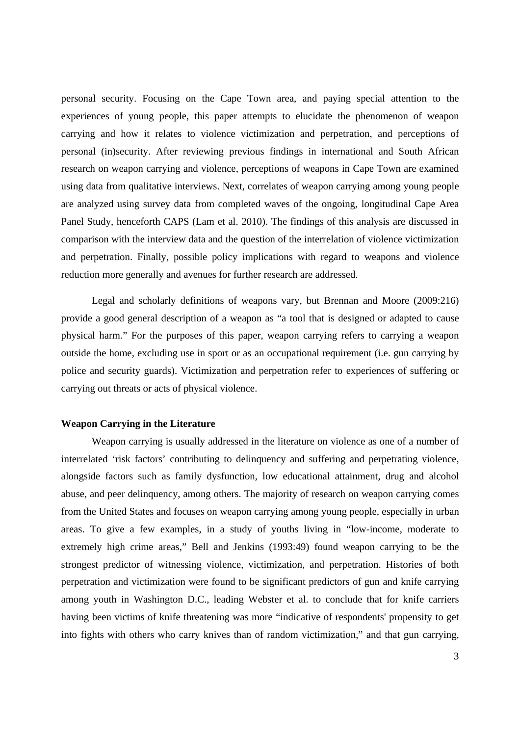personal security. Focusing on the Cape Town area, and paying special attention to the experiences of young people, this paper attempts to elucidate the phenomenon of weapon carrying and how it relates to violence victimization and perpetration, and perceptions of personal (in)security. After reviewing previous findings in international and South African research on weapon carrying and violence, perceptions of weapons in Cape Town are examined using data from qualitative interviews. Next, correlates of weapon carrying among young people are analyzed using survey data from completed waves of the ongoing, longitudinal Cape Area Panel Study, henceforth CAPS (Lam et al. 2010). The findings of this analysis are discussed in comparison with the interview data and the question of the interrelation of violence victimization and perpetration. Finally, possible policy implications with regard to weapons and violence reduction more generally and avenues for further research are addressed.

 Legal and scholarly definitions of weapons vary, but Brennan and Moore (2009:216) provide a good general description of a weapon as "a tool that is designed or adapted to cause physical harm." For the purposes of this paper, weapon carrying refers to carrying a weapon outside the home, excluding use in sport or as an occupational requirement (i.e. gun carrying by police and security guards). Victimization and perpetration refer to experiences of suffering or carrying out threats or acts of physical violence.

#### **Weapon Carrying in the Literature**

Weapon carrying is usually addressed in the literature on violence as one of a number of interrelated 'risk factors' contributing to delinquency and suffering and perpetrating violence, alongside factors such as family dysfunction, low educational attainment, drug and alcohol abuse, and peer delinquency, among others. The majority of research on weapon carrying comes from the United States and focuses on weapon carrying among young people, especially in urban areas. To give a few examples, in a study of youths living in "low-income, moderate to extremely high crime areas," Bell and Jenkins (1993:49) found weapon carrying to be the strongest predictor of witnessing violence, victimization, and perpetration. Histories of both perpetration and victimization were found to be significant predictors of gun and knife carrying among youth in Washington D.C., leading Webster et al. to conclude that for knife carriers having been victims of knife threatening was more "indicative of respondents' propensity to get into fights with others who carry knives than of random victimization," and that gun carrying,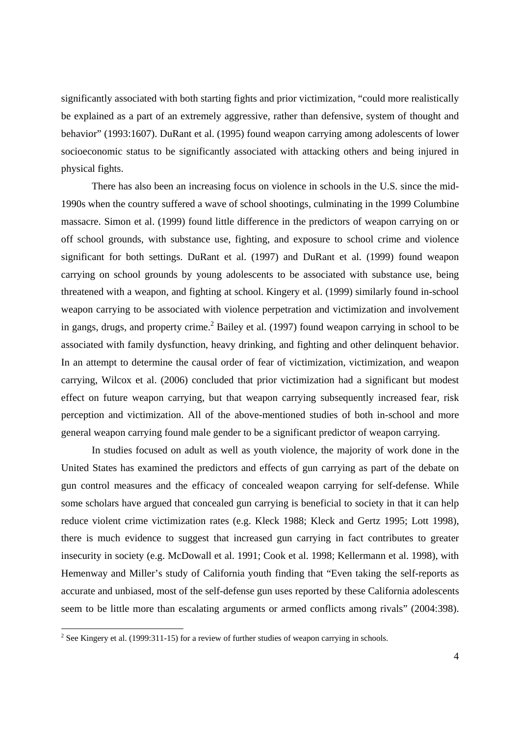significantly associated with both starting fights and prior victimization, "could more realistically be explained as a part of an extremely aggressive, rather than defensive, system of thought and behavior" (1993:1607). DuRant et al. (1995) found weapon carrying among adolescents of lower socioeconomic status to be significantly associated with attacking others and being injured in physical fights.

 There has also been an increasing focus on violence in schools in the U.S. since the mid-1990s when the country suffered a wave of school shootings, culminating in the 1999 Columbine massacre. Simon et al. (1999) found little difference in the predictors of weapon carrying on or off school grounds, with substance use, fighting, and exposure to school crime and violence significant for both settings. DuRant et al. (1997) and DuRant et al. (1999) found weapon carrying on school grounds by young adolescents to be associated with substance use, being threatened with a weapon, and fighting at school. Kingery et al. (1999) similarly found in-school weapon carrying to be associated with violence perpetration and victimization and involvement in gangs, drugs, and property crime.<sup>2</sup> Bailey et al. (1997) found weapon carrying in school to be associated with family dysfunction, heavy drinking, and fighting and other delinquent behavior. In an attempt to determine the causal order of fear of victimization, victimization, and weapon carrying, Wilcox et al. (2006) concluded that prior victimization had a significant but modest effect on future weapon carrying, but that weapon carrying subsequently increased fear, risk perception and victimization. All of the above-mentioned studies of both in-school and more general weapon carrying found male gender to be a significant predictor of weapon carrying.

In studies focused on adult as well as youth violence, the majority of work done in the United States has examined the predictors and effects of gun carrying as part of the debate on gun control measures and the efficacy of concealed weapon carrying for self-defense. While some scholars have argued that concealed gun carrying is beneficial to society in that it can help reduce violent crime victimization rates (e.g. Kleck 1988; Kleck and Gertz 1995; Lott 1998), there is much evidence to suggest that increased gun carrying in fact contributes to greater insecurity in society (e.g. McDowall et al. 1991; Cook et al. 1998; Kellermann et al. 1998), with Hemenway and Miller's study of California youth finding that "Even taking the self-reports as accurate and unbiased, most of the self-defense gun uses reported by these California adolescents seem to be little more than escalating arguments or armed conflicts among rivals" (2004:398).

1

<sup>&</sup>lt;sup>2</sup> See Kingery et al. (1999:311-15) for a review of further studies of weapon carrying in schools.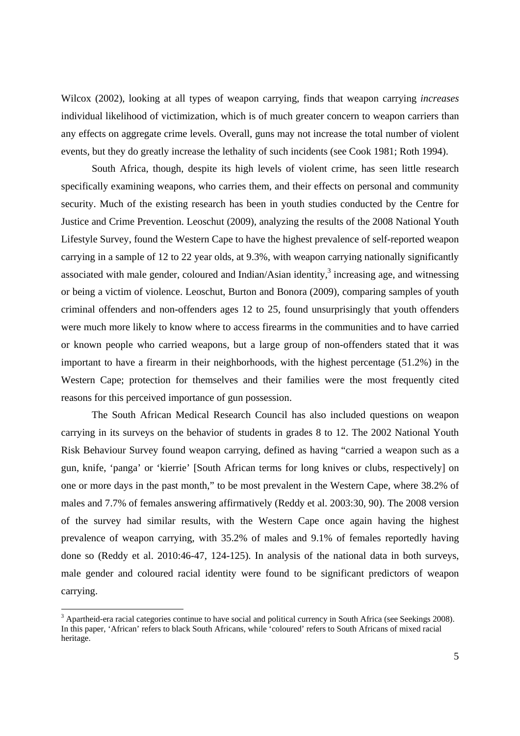Wilcox (2002), looking at all types of weapon carrying, finds that weapon carrying *increases* individual likelihood of victimization, which is of much greater concern to weapon carriers than any effects on aggregate crime levels. Overall, guns may not increase the total number of violent events, but they do greatly increase the lethality of such incidents (see Cook 1981; Roth 1994).

South Africa, though, despite its high levels of violent crime, has seen little research specifically examining weapons, who carries them, and their effects on personal and community security. Much of the existing research has been in youth studies conducted by the Centre for Justice and Crime Prevention. Leoschut (2009), analyzing the results of the 2008 National Youth Lifestyle Survey, found the Western Cape to have the highest prevalence of self-reported weapon carrying in a sample of 12 to 22 year olds, at 9.3%, with weapon carrying nationally significantly associated with male gender, coloured and Indian/Asian identity, $3$  increasing age, and witnessing or being a victim of violence. Leoschut, Burton and Bonora (2009), comparing samples of youth criminal offenders and non-offenders ages 12 to 25, found unsurprisingly that youth offenders were much more likely to know where to access firearms in the communities and to have carried or known people who carried weapons, but a large group of non-offenders stated that it was important to have a firearm in their neighborhoods, with the highest percentage (51.2%) in the Western Cape; protection for themselves and their families were the most frequently cited reasons for this perceived importance of gun possession.

The South African Medical Research Council has also included questions on weapon carrying in its surveys on the behavior of students in grades 8 to 12. The 2002 National Youth Risk Behaviour Survey found weapon carrying, defined as having "carried a weapon such as a gun, knife, 'panga' or 'kierrie' [South African terms for long knives or clubs, respectively] on one or more days in the past month," to be most prevalent in the Western Cape, where 38.2% of males and 7.7% of females answering affirmatively (Reddy et al. 2003:30, 90). The 2008 version of the survey had similar results, with the Western Cape once again having the highest prevalence of weapon carrying, with 35.2% of males and 9.1% of females reportedly having done so (Reddy et al. 2010:46-47, 124-125). In analysis of the national data in both surveys, male gender and coloured racial identity were found to be significant predictors of weapon carrying.

<sup>&</sup>lt;sup>3</sup> Apartheid-era racial categories continue to have social and political currency in South Africa (see Seekings 2008). In this paper, 'African' refers to black South Africans, while 'coloured' refers to South Africans of mixed racial heritage.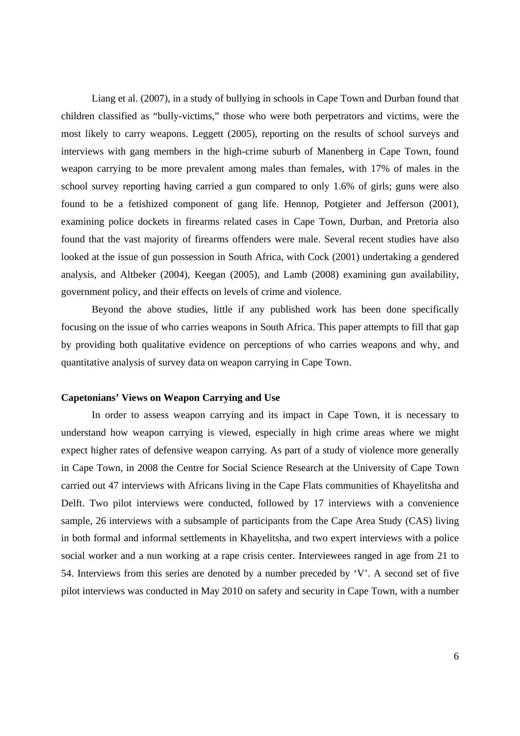Liang et al. (2007), in a study of bullying in schools in Cape Town and Durban found that children classified as "bully-victims," those who were both perpetrators and victims, were the most likely to carry weapons. Leggett (2005), reporting on the results of school surveys and interviews with gang members in the high-crime suburb of Manenberg in Cape Town, found weapon carrying to be more prevalent among males than females, with 17% of males in the school survey reporting having carried a gun compared to only 1.6% of girls; guns were also found to be a fetishized component of gang life. Hennop, Potgieter and Jefferson (2001), examining police dockets in firearms related cases in Cape Town, Durban, and Pretoria also found that the vast majority of firearms offenders were male. Several recent studies have also looked at the issue of gun possession in South Africa, with Cock (2001) undertaking a gendered analysis, and Altbeker (2004), Keegan (2005), and Lamb (2008) examining gun availability, government policy, and their effects on levels of crime and violence.

Beyond the above studies, little if any published work has been done specifically focusing on the issue of who carries weapons in South Africa. This paper attempts to fill that gap by providing both qualitative evidence on perceptions of who carries weapons and why, and quantitative analysis of survey data on weapon carrying in Cape Town.

#### **Capetonians' Views on Weapon Carrying and Use**

In order to assess weapon carrying and its impact in Cape Town, it is necessary to understand how weapon carrying is viewed, especially in high crime areas where we might expect higher rates of defensive weapon carrying. As part of a study of violence more generally in Cape Town, in 2008 the Centre for Social Science Research at the University of Cape Town carried out 47 interviews with Africans living in the Cape Flats communities of Khayelitsha and Delft. Two pilot interviews were conducted, followed by 17 interviews with a convenience sample, 26 interviews with a subsample of participants from the Cape Area Study (CAS) living in both formal and informal settlements in Khayelitsha, and two expert interviews with a police social worker and a nun working at a rape crisis center. Interviewees ranged in age from 21 to 54. Interviews from this series are denoted by a number preceded by 'V'. A second set of five pilot interviews was conducted in May 2010 on safety and security in Cape Town, with a number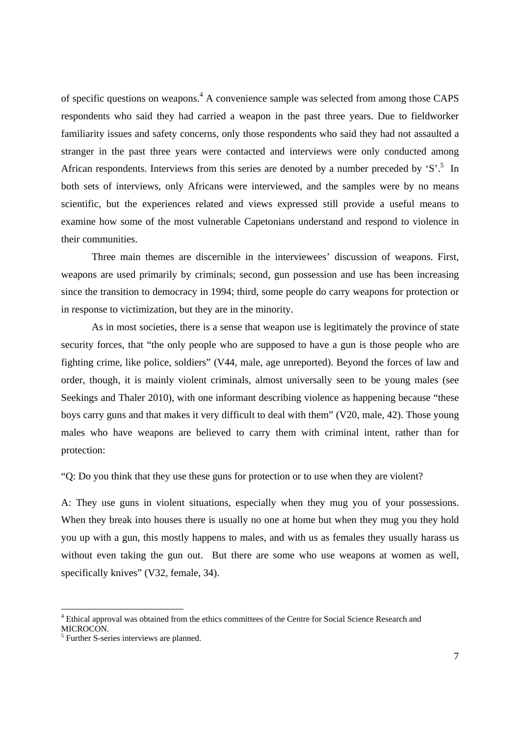of specific questions on weapons.<sup>4</sup> A convenience sample was selected from among those CAPS respondents who said they had carried a weapon in the past three years. Due to fieldworker familiarity issues and safety concerns, only those respondents who said they had not assaulted a stranger in the past three years were contacted and interviews were only conducted among African respondents. Interviews from this series are denoted by a number preceded by 'S'.<sup>5</sup> In both sets of interviews, only Africans were interviewed, and the samples were by no means scientific, but the experiences related and views expressed still provide a useful means to examine how some of the most vulnerable Capetonians understand and respond to violence in their communities.

Three main themes are discernible in the interviewees' discussion of weapons. First, weapons are used primarily by criminals; second, gun possession and use has been increasing since the transition to democracy in 1994; third, some people do carry weapons for protection or in response to victimization, but they are in the minority.

As in most societies, there is a sense that weapon use is legitimately the province of state security forces, that "the only people who are supposed to have a gun is those people who are fighting crime, like police, soldiers" (V44, male, age unreported). Beyond the forces of law and order, though, it is mainly violent criminals, almost universally seen to be young males (see Seekings and Thaler 2010), with one informant describing violence as happening because "these boys carry guns and that makes it very difficult to deal with them" (V20, male, 42). Those young males who have weapons are believed to carry them with criminal intent, rather than for protection:

"Q: Do you think that they use these guns for protection or to use when they are violent?

A: They use guns in violent situations, especially when they mug you of your possessions. When they break into houses there is usually no one at home but when they mug you they hold you up with a gun, this mostly happens to males, and with us as females they usually harass us without even taking the gun out. But there are some who use weapons at women as well, specifically knives" (V32, female, 34).

<sup>&</sup>lt;sup>4</sup> Ethical approval was obtained from the ethics committees of the Centre for Social Science Research and MICROCON.

<sup>&</sup>lt;sup>5</sup> Further S-series interviews are planned.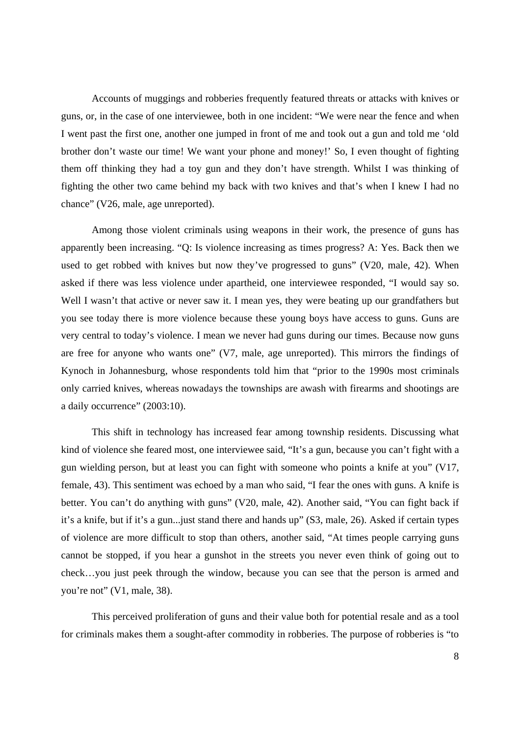Accounts of muggings and robberies frequently featured threats or attacks with knives or guns, or, in the case of one interviewee, both in one incident: "We were near the fence and when I went past the first one, another one jumped in front of me and took out a gun and told me 'old brother don't waste our time! We want your phone and money!' So, I even thought of fighting them off thinking they had a toy gun and they don't have strength. Whilst I was thinking of fighting the other two came behind my back with two knives and that's when I knew I had no chance" (V26, male, age unreported).

Among those violent criminals using weapons in their work, the presence of guns has apparently been increasing. "Q: Is violence increasing as times progress? A: Yes. Back then we used to get robbed with knives but now they've progressed to guns" (V20, male, 42). When asked if there was less violence under apartheid, one interviewee responded, "I would say so. Well I wasn't that active or never saw it. I mean yes, they were beating up our grandfathers but you see today there is more violence because these young boys have access to guns. Guns are very central to today's violence. I mean we never had guns during our times. Because now guns are free for anyone who wants one" (V7, male, age unreported). This mirrors the findings of Kynoch in Johannesburg, whose respondents told him that "prior to the 1990s most criminals only carried knives, whereas nowadays the townships are awash with firearms and shootings are a daily occurrence" (2003:10).

This shift in technology has increased fear among township residents. Discussing what kind of violence she feared most, one interviewee said, "It's a gun, because you can't fight with a gun wielding person, but at least you can fight with someone who points a knife at you" (V17, female, 43). This sentiment was echoed by a man who said, "I fear the ones with guns. A knife is better. You can't do anything with guns" (V20, male, 42). Another said, "You can fight back if it's a knife, but if it's a gun...just stand there and hands up" (S3, male, 26). Asked if certain types of violence are more difficult to stop than others, another said, "At times people carrying guns cannot be stopped, if you hear a gunshot in the streets you never even think of going out to check…you just peek through the window, because you can see that the person is armed and you're not" (V1, male, 38).

This perceived proliferation of guns and their value both for potential resale and as a tool for criminals makes them a sought-after commodity in robberies. The purpose of robberies is "to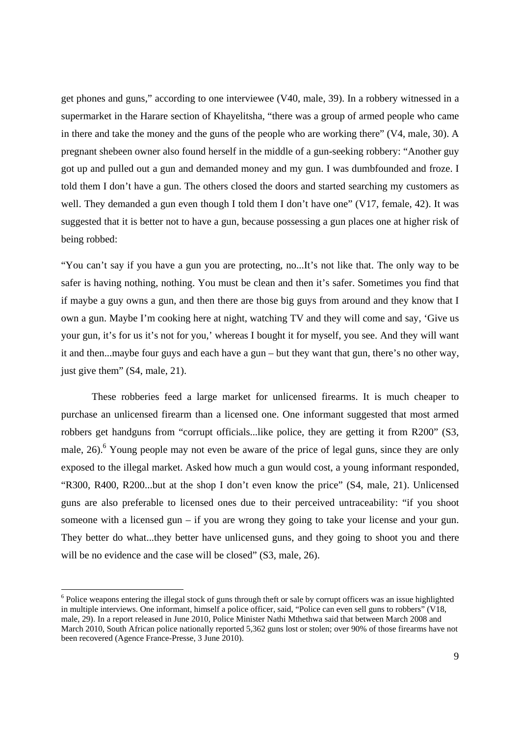get phones and guns," according to one interviewee (V40, male, 39). In a robbery witnessed in a supermarket in the Harare section of Khayelitsha, "there was a group of armed people who came in there and take the money and the guns of the people who are working there" (V4, male, 30). A pregnant shebeen owner also found herself in the middle of a gun-seeking robbery: "Another guy got up and pulled out a gun and demanded money and my gun. I was dumbfounded and froze. I told them I don't have a gun. The others closed the doors and started searching my customers as well. They demanded a gun even though I told them I don't have one" (V17, female, 42). It was suggested that it is better not to have a gun, because possessing a gun places one at higher risk of being robbed:

"You can't say if you have a gun you are protecting, no...It's not like that. The only way to be safer is having nothing, nothing. You must be clean and then it's safer. Sometimes you find that if maybe a guy owns a gun, and then there are those big guys from around and they know that I own a gun. Maybe I'm cooking here at night, watching TV and they will come and say, 'Give us your gun, it's for us it's not for you,' whereas I bought it for myself, you see. And they will want it and then...maybe four guys and each have a gun – but they want that gun, there's no other way, just give them" (S4, male, 21).

These robberies feed a large market for unlicensed firearms. It is much cheaper to purchase an unlicensed firearm than a licensed one. One informant suggested that most armed robbers get handguns from "corrupt officials...like police, they are getting it from R200" (S3, male,  $26$ <sup>6</sup>. Young people may not even be aware of the price of legal guns, since they are only exposed to the illegal market. Asked how much a gun would cost, a young informant responded, "R300, R400, R200...but at the shop I don't even know the price" (S4, male, 21). Unlicensed guns are also preferable to licensed ones due to their perceived untraceability: "if you shoot someone with a licensed gun – if you are wrong they going to take your license and your gun. They better do what...they better have unlicensed guns, and they going to shoot you and there will be no evidence and the case will be closed" (S3, male, 26).

 $6$  Police weapons entering the illegal stock of guns through theft or sale by corrupt officers was an issue highlighted in multiple interviews. One informant, himself a police officer, said, "Police can even sell guns to robbers" (V18, male, 29). In a report released in June 2010, Police Minister Nathi Mthethwa said that between March 2008 and March 2010, South African police nationally reported 5,362 guns lost or stolen; over 90% of those firearms have not been recovered (Agence France-Presse, 3 June 2010).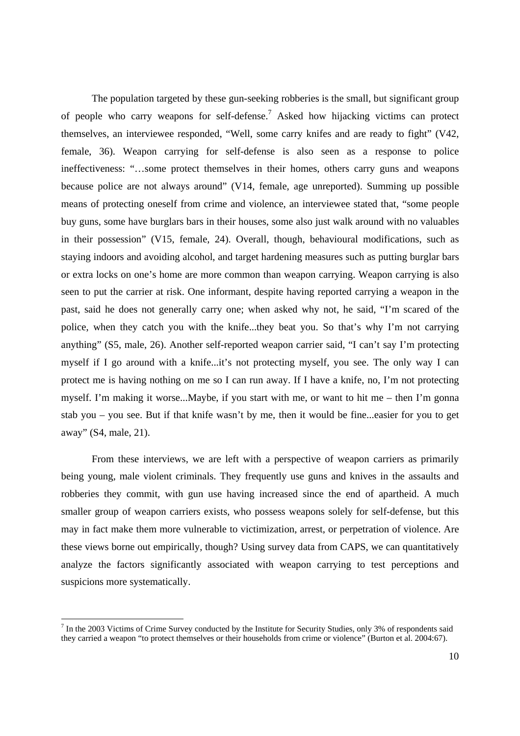The population targeted by these gun-seeking robberies is the small, but significant group of people who carry weapons for self-defense.<sup>7</sup> Asked how hijacking victims can protect themselves, an interviewee responded, "Well, some carry knifes and are ready to fight" (V42, female, 36). Weapon carrying for self-defense is also seen as a response to police ineffectiveness: "…some protect themselves in their homes, others carry guns and weapons because police are not always around" (V14, female, age unreported). Summing up possible means of protecting oneself from crime and violence, an interviewee stated that, "some people buy guns, some have burglars bars in their houses, some also just walk around with no valuables in their possession" (V15, female, 24). Overall, though, behavioural modifications, such as staying indoors and avoiding alcohol, and target hardening measures such as putting burglar bars or extra locks on one's home are more common than weapon carrying. Weapon carrying is also seen to put the carrier at risk. One informant, despite having reported carrying a weapon in the past, said he does not generally carry one; when asked why not, he said, "I'm scared of the police, when they catch you with the knife...they beat you. So that's why I'm not carrying anything" (S5, male, 26). Another self-reported weapon carrier said, "I can't say I'm protecting myself if I go around with a knife...it's not protecting myself, you see. The only way I can protect me is having nothing on me so I can run away. If I have a knife, no, I'm not protecting myself. I'm making it worse...Maybe, if you start with me, or want to hit me – then I'm gonna stab you – you see. But if that knife wasn't by me, then it would be fine...easier for you to get away" (S4, male, 21).

From these interviews, we are left with a perspective of weapon carriers as primarily being young, male violent criminals. They frequently use guns and knives in the assaults and robberies they commit, with gun use having increased since the end of apartheid. A much smaller group of weapon carriers exists, who possess weapons solely for self-defense, but this may in fact make them more vulnerable to victimization, arrest, or perpetration of violence. Are these views borne out empirically, though? Using survey data from CAPS, we can quantitatively analyze the factors significantly associated with weapon carrying to test perceptions and suspicions more systematically.

 $<sup>7</sup>$  In the 2003 Victims of Crime Survey conducted by the Institute for Security Studies, only 3% of respondents said</sup> they carried a weapon "to protect themselves or their households from crime or violence" (Burton et al. 2004:67).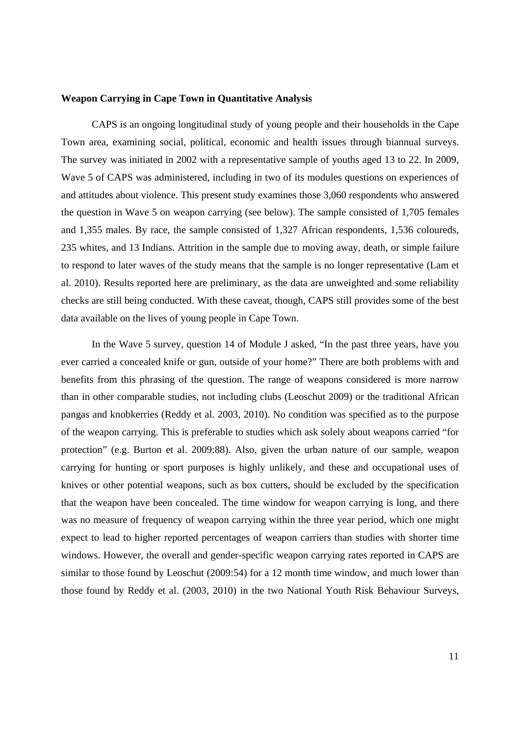#### **Weapon Carrying in Cape Town in Quantitative Analysis**

CAPS is an ongoing longitudinal study of young people and their households in the Cape Town area, examining social, political, economic and health issues through biannual surveys. The survey was initiated in 2002 with a representative sample of youths aged 13 to 22. In 2009, Wave 5 of CAPS was administered, including in two of its modules questions on experiences of and attitudes about violence. This present study examines those 3,060 respondents who answered the question in Wave 5 on weapon carrying (see below). The sample consisted of 1,705 females and 1,355 males. By race, the sample consisted of 1,327 African respondents, 1,536 coloureds, 235 whites, and 13 Indians. Attrition in the sample due to moving away, death, or simple failure to respond to later waves of the study means that the sample is no longer representative (Lam et al. 2010). Results reported here are preliminary, as the data are unweighted and some reliability checks are still being conducted. With these caveat, though, CAPS still provides some of the best data available on the lives of young people in Cape Town.

In the Wave 5 survey, question 14 of Module J asked, "In the past three years, have you ever carried a concealed knife or gun, outside of your home?" There are both problems with and benefits from this phrasing of the question. The range of weapons considered is more narrow than in other comparable studies, not including clubs (Leoschut 2009) or the traditional African pangas and knobkerries (Reddy et al. 2003, 2010). No condition was specified as to the purpose of the weapon carrying. This is preferable to studies which ask solely about weapons carried "for protection" (e.g. Burton et al. 2009:88). Also, given the urban nature of our sample, weapon carrying for hunting or sport purposes is highly unlikely, and these and occupational uses of knives or other potential weapons, such as box cutters, should be excluded by the specification that the weapon have been concealed. The time window for weapon carrying is long, and there was no measure of frequency of weapon carrying within the three year period, which one might expect to lead to higher reported percentages of weapon carriers than studies with shorter time windows. However, the overall and gender-specific weapon carrying rates reported in CAPS are similar to those found by Leoschut (2009:54) for a 12 month time window, and much lower than those found by Reddy et al. (2003, 2010) in the two National Youth Risk Behaviour Surveys,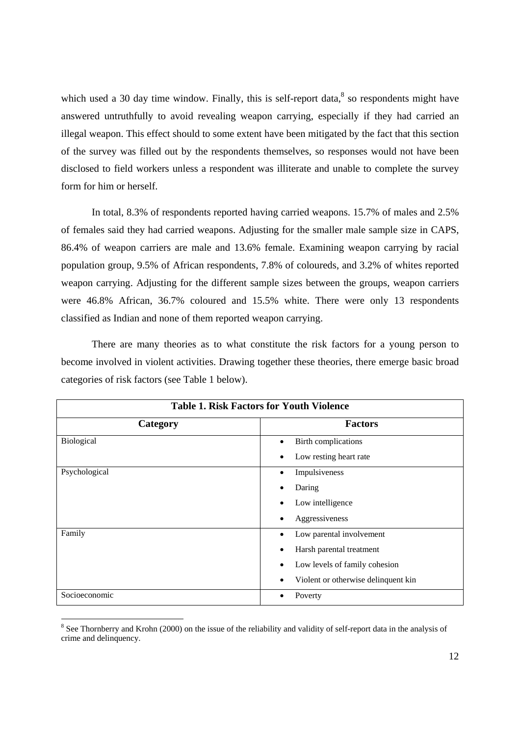which used a 30 day time window. Finally, this is self-report data,  $8$  so respondents might have answered untruthfully to avoid revealing weapon carrying, especially if they had carried an illegal weapon. This effect should to some extent have been mitigated by the fact that this section of the survey was filled out by the respondents themselves, so responses would not have been disclosed to field workers unless a respondent was illiterate and unable to complete the survey form for him or herself.

In total, 8.3% of respondents reported having carried weapons. 15.7% of males and 2.5% of females said they had carried weapons. Adjusting for the smaller male sample size in CAPS, 86.4% of weapon carriers are male and 13.6% female. Examining weapon carrying by racial population group, 9.5% of African respondents, 7.8% of coloureds, and 3.2% of whites reported weapon carrying. Adjusting for the different sample sizes between the groups, weapon carriers were 46.8% African, 36.7% coloured and 15.5% white. There were only 13 respondents classified as Indian and none of them reported weapon carrying.

There are many theories as to what constitute the risk factors for a young person to become involved in violent activities. Drawing together these theories, there emerge basic broad categories of risk factors (see Table 1 below).

| <b>Table 1. Risk Factors for Youth Violence</b> |                                                  |  |  |  |  |  |
|-------------------------------------------------|--------------------------------------------------|--|--|--|--|--|
| Category                                        | <b>Factors</b>                                   |  |  |  |  |  |
| Biological                                      | Birth complications<br>$\bullet$                 |  |  |  |  |  |
|                                                 | Low resting heart rate<br>$\bullet$              |  |  |  |  |  |
| Psychological                                   | Impulsiveness<br>٠                               |  |  |  |  |  |
|                                                 | Daring                                           |  |  |  |  |  |
|                                                 | Low intelligence<br>٠                            |  |  |  |  |  |
|                                                 | Aggressiveness<br>٠                              |  |  |  |  |  |
| Family                                          | Low parental involvement<br>٠                    |  |  |  |  |  |
|                                                 | Harsh parental treatment<br>٠                    |  |  |  |  |  |
|                                                 | Low levels of family cohesion<br>٠               |  |  |  |  |  |
|                                                 | Violent or otherwise delinquent kin<br>$\bullet$ |  |  |  |  |  |
| Socioeconomic                                   | Poverty<br>٠                                     |  |  |  |  |  |

<sup>&</sup>lt;sup>8</sup> See Thornberry and Krohn (2000) on the issue of the reliability and validity of self-report data in the analysis of crime and delinquency.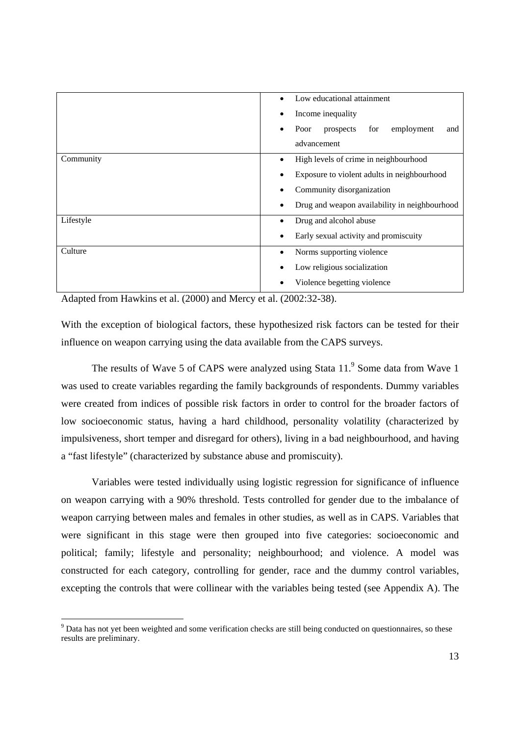|           | Low educational attainment                    |
|-----------|-----------------------------------------------|
|           | Income inequality                             |
|           | employment<br>Poor<br>for<br>prospects<br>and |
|           | advancement                                   |
| Community | High levels of crime in neighbourhood         |
|           | Exposure to violent adults in neighbourhood   |
|           | Community disorganization                     |
|           | Drug and weapon availability in neighbourhood |
| Lifestyle | Drug and alcohol abuse                        |
|           | Early sexual activity and promiscuity         |
| Culture   | Norms supporting violence<br>٠                |
|           | Low religious socialization                   |
|           | Violence begetting violence                   |

Adapted from Hawkins et al. (2000) and Mercy et al. (2002:32-38).

With the exception of biological factors, these hypothesized risk factors can be tested for their influence on weapon carrying using the data available from the CAPS surveys.

The results of Wave 5 of CAPS were analyzed using Stata  $11<sup>9</sup>$  Some data from Wave 1 was used to create variables regarding the family backgrounds of respondents. Dummy variables were created from indices of possible risk factors in order to control for the broader factors of low socioeconomic status, having a hard childhood, personality volatility (characterized by impulsiveness, short temper and disregard for others), living in a bad neighbourhood, and having a "fast lifestyle" (characterized by substance abuse and promiscuity).

Variables were tested individually using logistic regression for significance of influence on weapon carrying with a 90% threshold. Tests controlled for gender due to the imbalance of weapon carrying between males and females in other studies, as well as in CAPS. Variables that were significant in this stage were then grouped into five categories: socioeconomic and political; family; lifestyle and personality; neighbourhood; and violence. A model was constructed for each category, controlling for gender, race and the dummy control variables, excepting the controls that were collinear with the variables being tested (see Appendix A). The

<sup>&</sup>lt;sup>9</sup> Data has not yet been weighted and some verification checks are still being conducted on questionnaires, so these results are preliminary.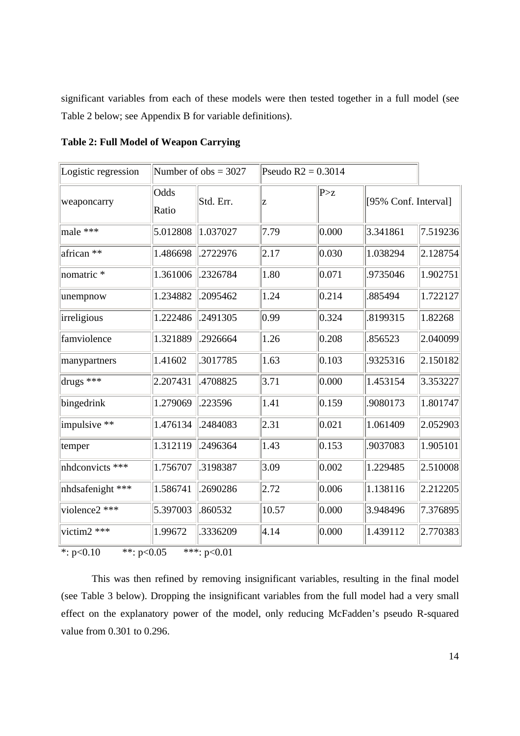significant variables from each of these models were then tested together in a full model (see Table 2 below; see Appendix B for variable definitions).

| Logistic regression |               | Number of $obs = 3027$ |       | Pseudo $R2 = 0.3014$ |                      |          |  |  |
|---------------------|---------------|------------------------|-------|----------------------|----------------------|----------|--|--|
| weaponcarry         | Odds<br>Ratio | Std. Err.              | z     | P > z                | [95% Conf. Interval] |          |  |  |
| male ***            | 5.012808      | 1.037027               | 7.79  | 0.000                | 3.341861             | 7.519236 |  |  |
| african **          | 1.486698      | .2722976               | 2.17  | 0.030                | 1.038294             | 2.128754 |  |  |
| nomatric *          | 1.361006      | .2326784               | 1.80  | 0.071                | .9735046             | 1.902751 |  |  |
| unempnow            | 1.234882      | .2095462               | 1.24  | 0.214                | .885494              | 1.722127 |  |  |
| irreligious         | 1.222486      | .2491305               | 0.99  | 0.324                | .8199315             | 1.82268  |  |  |
| famviolence         | 1.321889      | .2926664               | 1.26  | 0.208                | .856523              | 2.040099 |  |  |
| manypartners        | 1.41602       | .3017785               | 1.63  | 0.103                | .9325316             | 2.150182 |  |  |
| drugs ***           | 2.207431      | .4708825               | 3.71  | 0.000                | 1.453154             | 3.353227 |  |  |
| bingedrink          | 1.279069      | .223596                | 1.41  | 0.159                | .9080173             | 1.801747 |  |  |
| impulsive **        | 1.476134      | .2484083               | 2.31  | 0.021                | 1.061409             | 2.052903 |  |  |
| temper              | 1.312119      | .2496364               | 1.43  | 0.153                | .9037083             | 1.905101 |  |  |
| nhdconvicts ***     | 1.756707      | .3198387               | 3.09  | 0.002                | 1.229485             | 2.510008 |  |  |
| nhdsafenight ***    | 1.586741      | .2690286               | 2.72  | 0.006                | 1.138116             | 2.212205 |  |  |
| violence2 ***       | 5.397003      | .860532                | 10.57 | 0.000                | 3.948496             | 7.376895 |  |  |
| victim2 ***         | 1.99672       | .3336209               | 4.14  | 0.000                | 1.439112             | 2.770383 |  |  |

**Table 2: Full Model of Weapon Carrying** 

\*:  $p<0.10$  \*\*:  $p<0.05$  \*\*\*:  $p<0.01$ 

This was then refined by removing insignificant variables, resulting in the final model (see Table 3 below). Dropping the insignificant variables from the full model had a very small effect on the explanatory power of the model, only reducing McFadden's pseudo R-squared value from 0.301 to 0.296.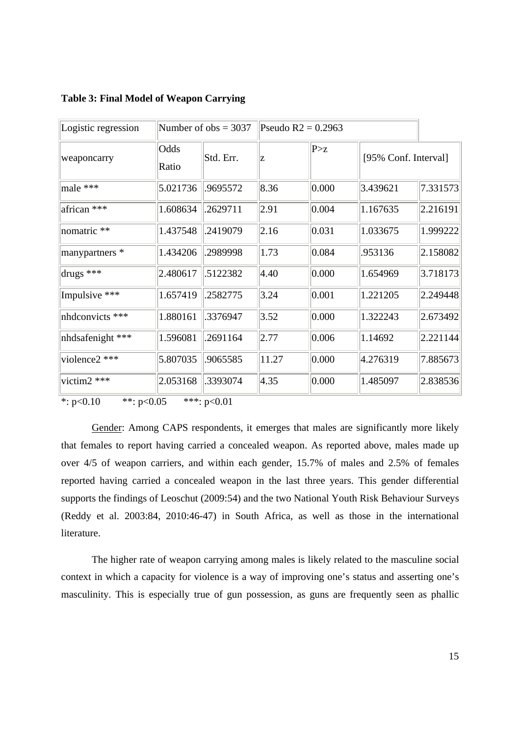| Logistic regression                  |                                                      | Number of $obs = 3037$ | Pseudo $R2 = 0.2963$ |       |                      |          |
|--------------------------------------|------------------------------------------------------|------------------------|----------------------|-------|----------------------|----------|
| weaponcarry                          | Odds<br>Ratio                                        | Std. Err.              | Ιz                   | P > z | [95% Conf. Interval] |          |
| male ***                             | 5.021736                                             | .9695572               | 8.36                 | 0.000 | 3.439621             | 7.331573 |
| african ***                          | 1.608634                                             | .2629711               | 2.91                 | 0.004 | 1.167635             | 2.216191 |
| nomatric **                          | 1.437548                                             | .2419079               | 2.16                 | 0.031 | 1.033675             | 1.999222 |
| manypartners *                       | 1.434206                                             | .2989998               | 1.73                 | 0.084 | .953136              | 2.158082 |
| drugs ***                            | 2.480617                                             | .5122382               | 4.40                 | 0.000 | 1.654969             | 3.718173 |
| Impulsive ***                        | 1.657419                                             | .2582775               | 3.24                 | 0.001 | 1.221205             | 2.249448 |
| nhdconvicts ***                      | 1.880161                                             | .3376947               | 3.52                 | 0.000 | 1.322243             | 2.673492 |
| nhdsafenight ***                     | 1.596081                                             | .2691164               | 2.77                 | 0.006 | 1.14692              | 2.221144 |
| violence2 ***                        | 5.807035                                             | .9065585               | 11.27                | 0.000 | 4.276319             | 7.885673 |
| victim2 ***<br>all also<br>$\sim$ 10 | 2.053168<br>$\sim$ $\sim$ $\sim$<br>and a state of a | .3393074<br>0.01       | 4.35                 | 0.000 | 1.485097             | 2.838536 |

**Table 3: Final Model of Weapon Carrying** 

\*:  $p<0.10$  \*\*:  $p<0.05$  \*\*\*:  $p<0.01$ 

Gender: Among CAPS respondents, it emerges that males are significantly more likely that females to report having carried a concealed weapon. As reported above, males made up over 4/5 of weapon carriers, and within each gender, 15.7% of males and 2.5% of females reported having carried a concealed weapon in the last three years. This gender differential supports the findings of Leoschut (2009:54) and the two National Youth Risk Behaviour Surveys (Reddy et al. 2003:84, 2010:46-47) in South Africa, as well as those in the international literature.

The higher rate of weapon carrying among males is likely related to the masculine social context in which a capacity for violence is a way of improving one's status and asserting one's masculinity. This is especially true of gun possession, as guns are frequently seen as phallic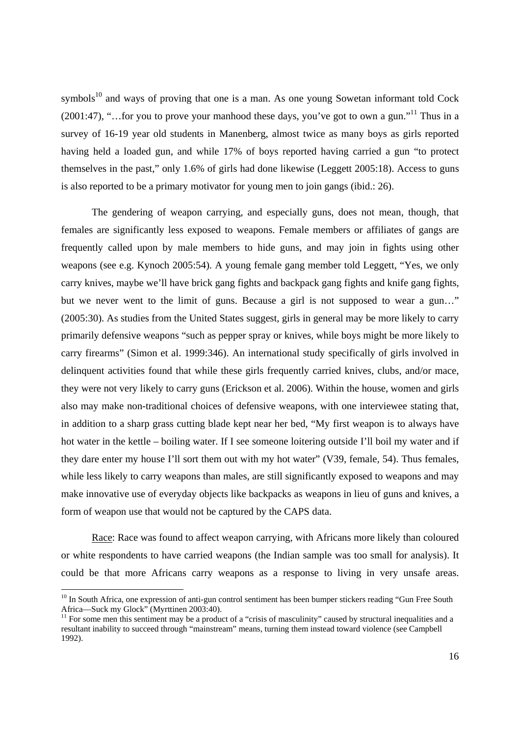symbols<sup>10</sup> and ways of proving that one is a man. As one young Sowetan informant told Cock (2001:47), "...for you to prove your manhood these days, you've got to own a gun."<sup>11</sup> Thus in a survey of 16-19 year old students in Manenberg, almost twice as many boys as girls reported having held a loaded gun, and while 17% of boys reported having carried a gun "to protect themselves in the past," only 1.6% of girls had done likewise (Leggett 2005:18). Access to guns is also reported to be a primary motivator for young men to join gangs (ibid.: 26).

The gendering of weapon carrying, and especially guns, does not mean, though, that females are significantly less exposed to weapons. Female members or affiliates of gangs are frequently called upon by male members to hide guns, and may join in fights using other weapons (see e.g. Kynoch 2005:54). A young female gang member told Leggett, "Yes, we only carry knives, maybe we'll have brick gang fights and backpack gang fights and knife gang fights, but we never went to the limit of guns. Because a girl is not supposed to wear a gun…" (2005:30). As studies from the United States suggest, girls in general may be more likely to carry primarily defensive weapons "such as pepper spray or knives, while boys might be more likely to carry firearms" (Simon et al. 1999:346). An international study specifically of girls involved in delinquent activities found that while these girls frequently carried knives, clubs, and/or mace, they were not very likely to carry guns (Erickson et al. 2006). Within the house, women and girls also may make non-traditional choices of defensive weapons, with one interviewee stating that, in addition to a sharp grass cutting blade kept near her bed, "My first weapon is to always have hot water in the kettle – boiling water. If I see someone loitering outside I'll boil my water and if they dare enter my house I'll sort them out with my hot water" (V39, female, 54). Thus females, while less likely to carry weapons than males, are still significantly exposed to weapons and may make innovative use of everyday objects like backpacks as weapons in lieu of guns and knives, a form of weapon use that would not be captured by the CAPS data.

Race: Race was found to affect weapon carrying, with Africans more likely than coloured or white respondents to have carried weapons (the Indian sample was too small for analysis). It could be that more Africans carry weapons as a response to living in very unsafe areas.

 $10$  In South Africa, one expression of anti-gun control sentiment has been bumper stickers reading "Gun Free South Africa—Suck my Glock" (Myrttinen 2003:40).

<sup>&</sup>lt;sup>11</sup> For some men this sentiment may be a product of a "crisis of masculinity" caused by structural inequalities and a resultant inability to succeed through "mainstream" means, turning them instead toward violence (see Campbell 1992).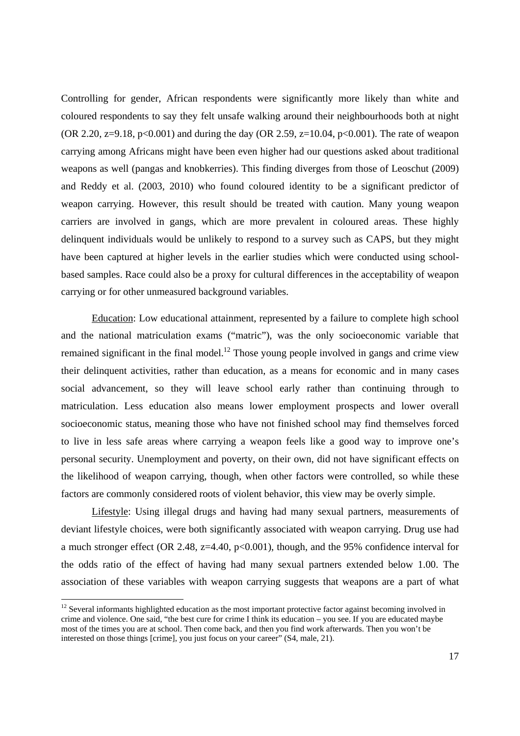Controlling for gender, African respondents were significantly more likely than white and coloured respondents to say they felt unsafe walking around their neighbourhoods both at night (OR 2.20, z=9.18,  $p<0.001$ ) and during the day (OR 2.59, z=10.04,  $p<0.001$ ). The rate of weapon carrying among Africans might have been even higher had our questions asked about traditional weapons as well (pangas and knobkerries). This finding diverges from those of Leoschut (2009) and Reddy et al. (2003, 2010) who found coloured identity to be a significant predictor of weapon carrying. However, this result should be treated with caution. Many young weapon carriers are involved in gangs, which are more prevalent in coloured areas. These highly delinquent individuals would be unlikely to respond to a survey such as CAPS, but they might have been captured at higher levels in the earlier studies which were conducted using schoolbased samples. Race could also be a proxy for cultural differences in the acceptability of weapon carrying or for other unmeasured background variables.

Education: Low educational attainment, represented by a failure to complete high school and the national matriculation exams ("matric"), was the only socioeconomic variable that remained significant in the final model.<sup>12</sup> Those young people involved in gangs and crime view their delinquent activities, rather than education, as a means for economic and in many cases social advancement, so they will leave school early rather than continuing through to matriculation. Less education also means lower employment prospects and lower overall socioeconomic status, meaning those who have not finished school may find themselves forced to live in less safe areas where carrying a weapon feels like a good way to improve one's personal security. Unemployment and poverty, on their own, did not have significant effects on the likelihood of weapon carrying, though, when other factors were controlled, so while these factors are commonly considered roots of violent behavior, this view may be overly simple.

Lifestyle: Using illegal drugs and having had many sexual partners, measurements of deviant lifestyle choices, were both significantly associated with weapon carrying. Drug use had a much stronger effect (OR 2.48, z=4.40, p<0.001), though, and the 95% confidence interval for the odds ratio of the effect of having had many sexual partners extended below 1.00. The association of these variables with weapon carrying suggests that weapons are a part of what

 $12$  Several informants highlighted education as the most important protective factor against becoming involved in crime and violence. One said, "the best cure for crime I think its education – you see. If you are educated maybe most of the times you are at school. Then come back, and then you find work afterwards. Then you won't be interested on those things [crime], you just focus on your career" (S4, male, 21).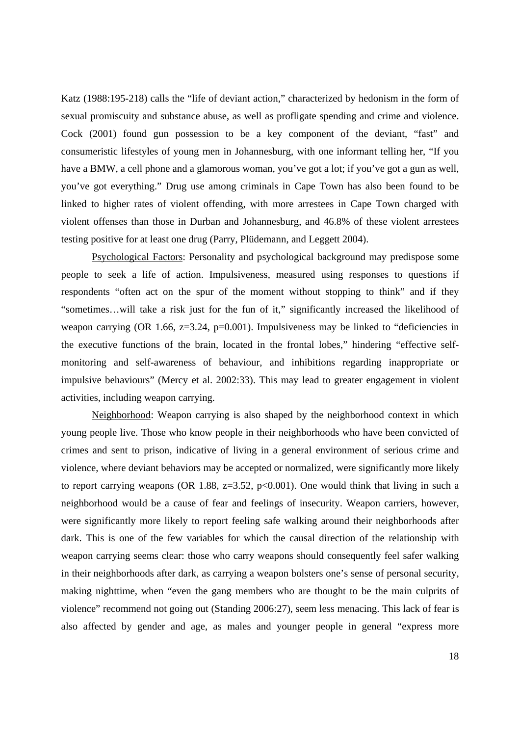Katz (1988:195-218) calls the "life of deviant action," characterized by hedonism in the form of sexual promiscuity and substance abuse, as well as profligate spending and crime and violence. Cock (2001) found gun possession to be a key component of the deviant, "fast" and consumeristic lifestyles of young men in Johannesburg, with one informant telling her, "If you have a BMW, a cell phone and a glamorous woman, you've got a lot; if you've got a gun as well, you've got everything." Drug use among criminals in Cape Town has also been found to be linked to higher rates of violent offending, with more arrestees in Cape Town charged with violent offenses than those in Durban and Johannesburg, and 46.8% of these violent arrestees testing positive for at least one drug (Parry, Plüdemann, and Leggett 2004).

Psychological Factors: Personality and psychological background may predispose some people to seek a life of action. Impulsiveness, measured using responses to questions if respondents "often act on the spur of the moment without stopping to think" and if they "sometimes…will take a risk just for the fun of it," significantly increased the likelihood of weapon carrying (OR 1.66,  $z=3.24$ ,  $p=0.001$ ). Impulsiveness may be linked to "deficiencies in the executive functions of the brain, located in the frontal lobes," hindering "effective selfmonitoring and self-awareness of behaviour, and inhibitions regarding inappropriate or impulsive behaviours" (Mercy et al. 2002:33). This may lead to greater engagement in violent activities, including weapon carrying.

Neighborhood: Weapon carrying is also shaped by the neighborhood context in which young people live. Those who know people in their neighborhoods who have been convicted of crimes and sent to prison, indicative of living in a general environment of serious crime and violence, where deviant behaviors may be accepted or normalized, were significantly more likely to report carrying weapons (OR 1.88,  $z=3.52$ ,  $p<0.001$ ). One would think that living in such a neighborhood would be a cause of fear and feelings of insecurity. Weapon carriers, however, were significantly more likely to report feeling safe walking around their neighborhoods after dark. This is one of the few variables for which the causal direction of the relationship with weapon carrying seems clear: those who carry weapons should consequently feel safer walking in their neighborhoods after dark, as carrying a weapon bolsters one's sense of personal security, making nighttime, when "even the gang members who are thought to be the main culprits of violence" recommend not going out (Standing 2006:27), seem less menacing. This lack of fear is also affected by gender and age, as males and younger people in general "express more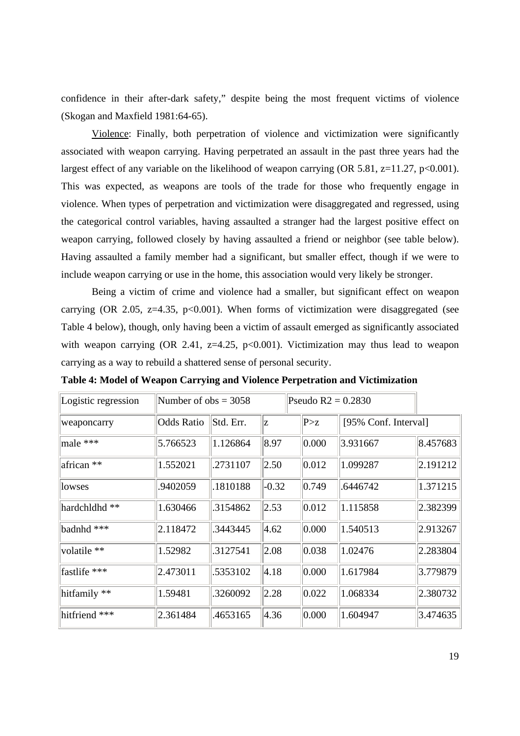confidence in their after-dark safety," despite being the most frequent victims of violence (Skogan and Maxfield 1981:64-65).

Violence: Finally, both perpetration of violence and victimization were significantly associated with weapon carrying. Having perpetrated an assault in the past three years had the largest effect of any variable on the likelihood of weapon carrying  $(OR 5.81, z=11.27, p<0.001)$ . This was expected, as weapons are tools of the trade for those who frequently engage in violence. When types of perpetration and victimization were disaggregated and regressed, using the categorical control variables, having assaulted a stranger had the largest positive effect on weapon carrying, followed closely by having assaulted a friend or neighbor (see table below). Having assaulted a family member had a significant, but smaller effect, though if we were to include weapon carrying or use in the home, this association would very likely be stronger.

Being a victim of crime and violence had a smaller, but significant effect on weapon carrying (OR 2.05,  $z=4.35$ ,  $p<0.001$ ). When forms of victimization were disaggregated (see Table 4 below), though, only having been a victim of assault emerged as significantly associated with weapon carrying (OR 2.41,  $z=4.25$ ,  $p<0.001$ ). Victimization may thus lead to weapon carrying as a way to rebuild a shattered sense of personal security.

| Logistic regression | Number of $obs = 3058$ |           |         | Pseudo $R2 = 0.2830$ |                      |          |
|---------------------|------------------------|-----------|---------|----------------------|----------------------|----------|
| weaponcarry         | <b>Odds Ratio</b>      | Std. Err. | z       | P > z                | [95% Conf. Interval] |          |
| male $***$          | 5.766523               | 1.126864  | 8.97    | 0.000                | 3.931667             | 8.457683 |
| african **          | 1.552021               | .2731107  | 2.50    | 0.012                | 1.099287             | 2.191212 |
| lowses              | .9402059               | .1810188  | $-0.32$ | $ 0.749\rangle$      | .6446742             | 1.371215 |
| hardchldhd **       | 1.630466               | .3154862  | 2.53    | 0.012                | 1.115858             | 2.382399 |
| badnhd ***          | 2.118472               | .3443445  | 4.62    | 0.000                | 1.540513             | 2.913267 |
| volatile **         | 1.52982                | .3127541  | 2.08    | 0.038                | 1.02476              | 2.283804 |
| fastlife ***        | 2.473011               | .5353102  | 4.18    | 0.000                | 1.617984             | 3.779879 |
| hitfamily **        | 1.59481                | .3260092  | 2.28    | 0.022                | 1.068334             | 2.380732 |
| hitfriend ***       | 2.361484               | .4653165  | 4.36    | 0.000                | 1.604947             | 3.474635 |

**Table 4: Model of Weapon Carrying and Violence Perpetration and Victimization**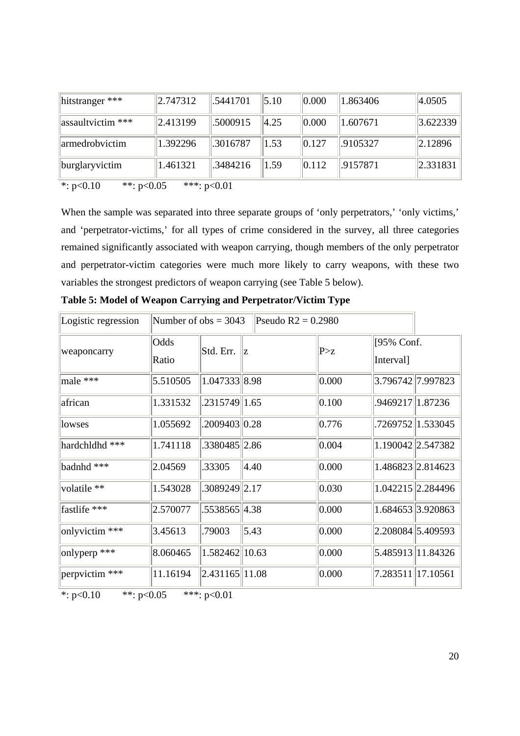| hitstranger ***   | $ 2.747312\rangle$ | .5441701 | 5.10 | 0.000 | 1.863406 | 4.0505   |
|-------------------|--------------------|----------|------|-------|----------|----------|
| assaultvictim *** | 2.413199           | .5000915 | 4.25 | 0.000 | 1.607671 | 3.622339 |
| armedrobvictim    | 1.392296           | .3016787 | 1.53 | 0.127 | .9105327 | 2.12896  |
| burglaryvictim    | 1.461321           | .3484216 | 1.59 | 0.112 | .9157871 | 2.331831 |

\*:  $p<0.10$  \*\*:  $p<0.05$  \*\*\*:  $p<0.01$ 

When the sample was separated into three separate groups of 'only perpetrators,' 'only victims,' and 'perpetrator-victims,' for all types of crime considered in the survey, all three categories remained significantly associated with weapon carrying, though members of the only perpetrator and perpetrator-victim categories were much more likely to carry weapons, with these two variables the strongest predictors of weapon carrying (see Table 5 below).

| Logistic regression | Number of $obs = 3043$<br>Pseudo $R2 = 0.2980$ |                 |      |  |       |                         |                    |
|---------------------|------------------------------------------------|-----------------|------|--|-------|-------------------------|--------------------|
| weaponcarry         | Odds<br>Ratio                                  | Std. Err.       | llz. |  | P > z | [95% Conf.<br>Interval] |                    |
| male ***            | 5.510505                                       | 1.047333 8.98   |      |  | 0.000 | 3.796742 7.997823       |                    |
| african             | 1.331532                                       | .2315749 1.65   |      |  | 0.100 | .9469217 1.87236        |                    |
| lowses              | 1.055692                                       | .2009403 0.28   |      |  | 0.776 |                         | .7269752  1.533045 |
| hardchldhd ***      | 1.741118                                       | .3380485  2.86  |      |  | 0.004 |                         | 1.190042 2.547382  |
| badnhd ***          | 2.04569                                        | .33305          | 4.40 |  | 0.000 |                         | 1.486823 2.814623  |
| volatile **         | 1.543028                                       | .3089249 2.17   |      |  | 0.030 |                         | 1.042215 2.284496  |
| fastlife ***        | 2.570077                                       | .5538565  4.38  |      |  | 0.000 | 1.684653 3.920863       |                    |
| onlyvictim ***      | 3.45613                                        | .79003          | 5.43 |  | 0.000 | $ 2.208084 $ 5.409593   |                    |
| onlyperp $***$      | 8.060465                                       | 1.582462 10.63  |      |  | 0.000 | 5.485913 11.84326       |                    |
| perpvictim ***      | 11.16194                                       | 2.431165  11.08 |      |  | 0.000 | 7.283511 17.10561       |                    |

**Table 5: Model of Weapon Carrying and Perpetrator/Victim Type** 

\*:  $p<0.10$  \*\*:  $p<0.05$  \*\*\*:  $p<0.01$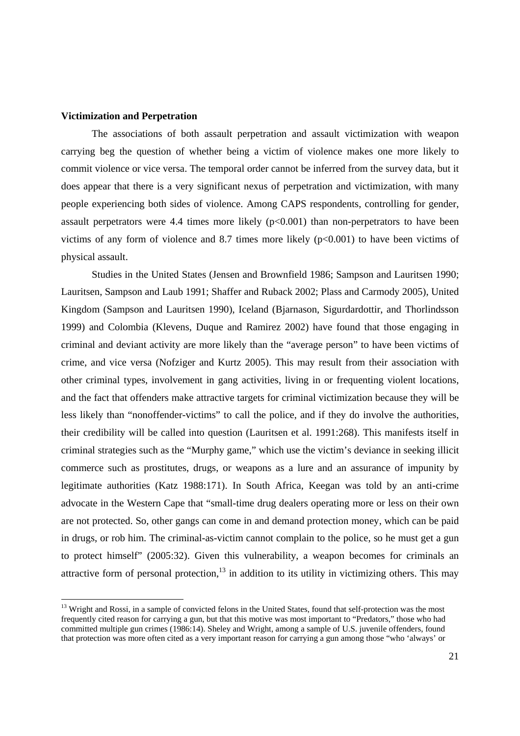#### **Victimization and Perpetration**

-

The associations of both assault perpetration and assault victimization with weapon carrying beg the question of whether being a victim of violence makes one more likely to commit violence or vice versa. The temporal order cannot be inferred from the survey data, but it does appear that there is a very significant nexus of perpetration and victimization, with many people experiencing both sides of violence. Among CAPS respondents, controlling for gender, assault perpetrators were 4.4 times more likely  $(p<0.001)$  than non-perpetrators to have been victims of any form of violence and 8.7 times more likely  $(p<0.001)$  to have been victims of physical assault.

Studies in the United States (Jensen and Brownfield 1986; Sampson and Lauritsen 1990; Lauritsen, Sampson and Laub 1991; Shaffer and Ruback 2002; Plass and Carmody 2005), United Kingdom (Sampson and Lauritsen 1990), Iceland (Bjarnason, Sigurdardottir, and Thorlindsson 1999) and Colombia (Klevens, Duque and Ramirez 2002) have found that those engaging in criminal and deviant activity are more likely than the "average person" to have been victims of crime, and vice versa (Nofziger and Kurtz 2005). This may result from their association with other criminal types, involvement in gang activities, living in or frequenting violent locations, and the fact that offenders make attractive targets for criminal victimization because they will be less likely than "nonoffender-victims" to call the police, and if they do involve the authorities, their credibility will be called into question (Lauritsen et al. 1991:268). This manifests itself in criminal strategies such as the "Murphy game," which use the victim's deviance in seeking illicit commerce such as prostitutes, drugs, or weapons as a lure and an assurance of impunity by legitimate authorities (Katz 1988:171). In South Africa, Keegan was told by an anti-crime advocate in the Western Cape that "small-time drug dealers operating more or less on their own are not protected. So, other gangs can come in and demand protection money, which can be paid in drugs, or rob him. The criminal-as-victim cannot complain to the police, so he must get a gun to protect himself" (2005:32). Given this vulnerability, a weapon becomes for criminals an attractive form of personal protection, $13$  in addition to its utility in victimizing others. This may

<sup>&</sup>lt;sup>13</sup> Wright and Rossi, in a sample of convicted felons in the United States, found that self-protection was the most frequently cited reason for carrying a gun, but that this motive was most important to "Predators," those who had committed multiple gun crimes (1986:14). Sheley and Wright, among a sample of U.S. juvenile offenders, found that protection was more often cited as a very important reason for carrying a gun among those "who 'always' or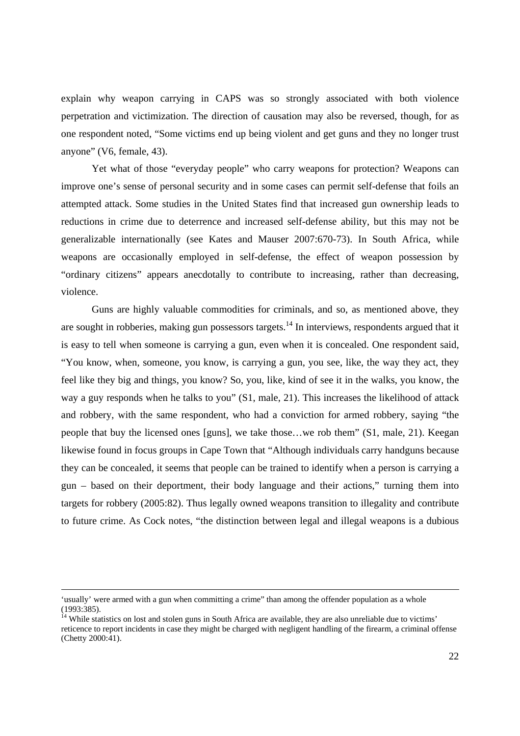explain why weapon carrying in CAPS was so strongly associated with both violence perpetration and victimization. The direction of causation may also be reversed, though, for as one respondent noted, "Some victims end up being violent and get guns and they no longer trust anyone" (V6, female, 43).

Yet what of those "everyday people" who carry weapons for protection? Weapons can improve one's sense of personal security and in some cases can permit self-defense that foils an attempted attack. Some studies in the United States find that increased gun ownership leads to reductions in crime due to deterrence and increased self-defense ability, but this may not be generalizable internationally (see Kates and Mauser 2007:670-73). In South Africa, while weapons are occasionally employed in self-defense, the effect of weapon possession by "ordinary citizens" appears anecdotally to contribute to increasing, rather than decreasing, violence.

Guns are highly valuable commodities for criminals, and so, as mentioned above, they are sought in robberies, making gun possessors targets.<sup>14</sup> In interviews, respondents argued that it is easy to tell when someone is carrying a gun, even when it is concealed. One respondent said, "You know, when, someone, you know, is carrying a gun, you see, like, the way they act, they feel like they big and things, you know? So, you, like, kind of see it in the walks, you know, the way a guy responds when he talks to you" (S1, male, 21). This increases the likelihood of attack and robbery, with the same respondent, who had a conviction for armed robbery, saying "the people that buy the licensed ones [guns], we take those…we rob them" (S1, male, 21). Keegan likewise found in focus groups in Cape Town that "Although individuals carry handguns because they can be concealed, it seems that people can be trained to identify when a person is carrying a gun – based on their deportment, their body language and their actions," turning them into targets for robbery (2005:82). Thus legally owned weapons transition to illegality and contribute to future crime. As Cock notes, "the distinction between legal and illegal weapons is a dubious

 <sup>&#</sup>x27;usually' were armed with a gun when committing a crime" than among the offender population as a whole (1993:385).

<sup>&</sup>lt;sup>14</sup> While statistics on lost and stolen guns in South Africa are available, they are also unreliable due to victims' reticence to report incidents in case they might be charged with negligent handling of the firearm, a criminal offense  $(Chettv 2000:41)$ .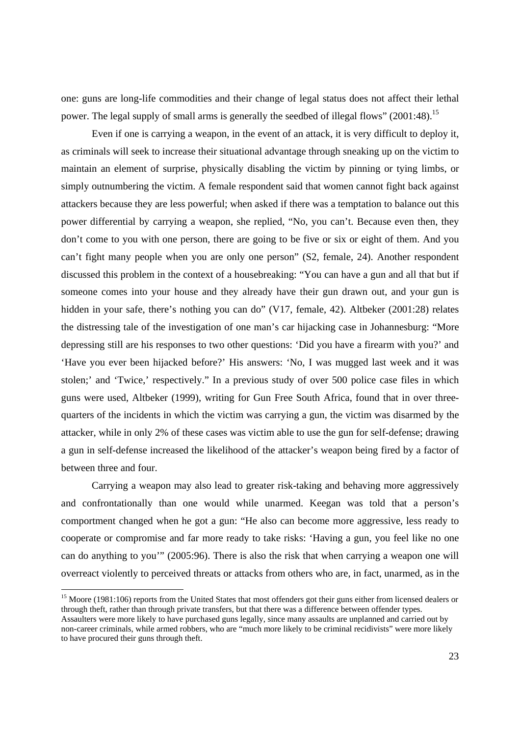one: guns are long-life commodities and their change of legal status does not affect their lethal power. The legal supply of small arms is generally the seedbed of illegal flows" (2001:48).<sup>15</sup>

Even if one is carrying a weapon, in the event of an attack, it is very difficult to deploy it, as criminals will seek to increase their situational advantage through sneaking up on the victim to maintain an element of surprise, physically disabling the victim by pinning or tying limbs, or simply outnumbering the victim. A female respondent said that women cannot fight back against attackers because they are less powerful; when asked if there was a temptation to balance out this power differential by carrying a weapon, she replied, "No, you can't. Because even then, they don't come to you with one person, there are going to be five or six or eight of them. And you can't fight many people when you are only one person" (S2, female, 24). Another respondent discussed this problem in the context of a housebreaking: "You can have a gun and all that but if someone comes into your house and they already have their gun drawn out, and your gun is hidden in your safe, there's nothing you can do" (V17, female, 42). Altbeker (2001:28) relates the distressing tale of the investigation of one man's car hijacking case in Johannesburg: "More depressing still are his responses to two other questions: 'Did you have a firearm with you?' and 'Have you ever been hijacked before?' His answers: 'No, I was mugged last week and it was stolen;' and 'Twice,' respectively." In a previous study of over 500 police case files in which guns were used, Altbeker (1999), writing for Gun Free South Africa, found that in over threequarters of the incidents in which the victim was carrying a gun, the victim was disarmed by the attacker, while in only 2% of these cases was victim able to use the gun for self-defense; drawing a gun in self-defense increased the likelihood of the attacker's weapon being fired by a factor of between three and four.

Carrying a weapon may also lead to greater risk-taking and behaving more aggressively and confrontationally than one would while unarmed. Keegan was told that a person's comportment changed when he got a gun: "He also can become more aggressive, less ready to cooperate or compromise and far more ready to take risks: 'Having a gun, you feel like no one can do anything to you'" (2005:96). There is also the risk that when carrying a weapon one will overreact violently to perceived threats or attacks from others who are, in fact, unarmed, as in the

<sup>&</sup>lt;sup>15</sup> Moore (1981:106) reports from the United States that most offenders got their guns either from licensed dealers or through theft, rather than through private transfers, but that there was a difference between offender types. Assaulters were more likely to have purchased guns legally, since many assaults are unplanned and carried out by non-career criminals, while armed robbers, who are "much more likely to be criminal recidivists" were more likely to have procured their guns through theft.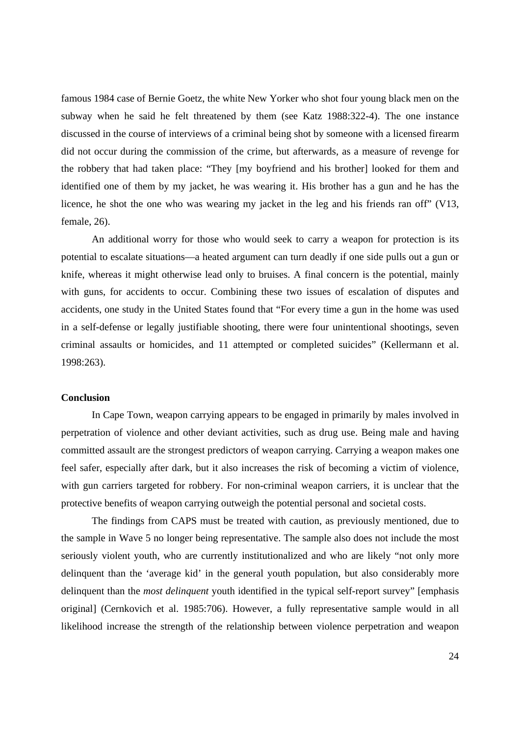famous 1984 case of Bernie Goetz, the white New Yorker who shot four young black men on the subway when he said he felt threatened by them (see Katz 1988:322-4). The one instance discussed in the course of interviews of a criminal being shot by someone with a licensed firearm did not occur during the commission of the crime, but afterwards, as a measure of revenge for the robbery that had taken place: "They [my boyfriend and his brother] looked for them and identified one of them by my jacket, he was wearing it. His brother has a gun and he has the licence, he shot the one who was wearing my jacket in the leg and his friends ran off" (V13, female, 26).

An additional worry for those who would seek to carry a weapon for protection is its potential to escalate situations—a heated argument can turn deadly if one side pulls out a gun or knife, whereas it might otherwise lead only to bruises. A final concern is the potential, mainly with guns, for accidents to occur. Combining these two issues of escalation of disputes and accidents, one study in the United States found that "For every time a gun in the home was used in a self-defense or legally justifiable shooting, there were four unintentional shootings, seven criminal assaults or homicides, and 11 attempted or completed suicides" (Kellermann et al. 1998:263).

#### **Conclusion**

 In Cape Town, weapon carrying appears to be engaged in primarily by males involved in perpetration of violence and other deviant activities, such as drug use. Being male and having committed assault are the strongest predictors of weapon carrying. Carrying a weapon makes one feel safer, especially after dark, but it also increases the risk of becoming a victim of violence, with gun carriers targeted for robbery. For non-criminal weapon carriers, it is unclear that the protective benefits of weapon carrying outweigh the potential personal and societal costs.

The findings from CAPS must be treated with caution, as previously mentioned, due to the sample in Wave 5 no longer being representative. The sample also does not include the most seriously violent youth, who are currently institutionalized and who are likely "not only more delinquent than the 'average kid' in the general youth population, but also considerably more delinquent than the *most delinquent* youth identified in the typical self-report survey" [emphasis original] (Cernkovich et al. 1985:706). However, a fully representative sample would in all likelihood increase the strength of the relationship between violence perpetration and weapon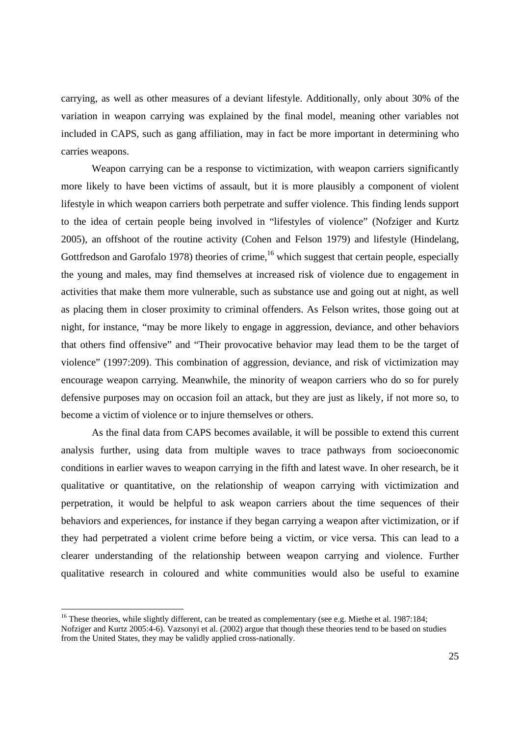carrying, as well as other measures of a deviant lifestyle. Additionally, only about 30% of the variation in weapon carrying was explained by the final model, meaning other variables not included in CAPS, such as gang affiliation, may in fact be more important in determining who carries weapons.

Weapon carrying can be a response to victimization, with weapon carriers significantly more likely to have been victims of assault, but it is more plausibly a component of violent lifestyle in which weapon carriers both perpetrate and suffer violence. This finding lends support to the idea of certain people being involved in "lifestyles of violence" (Nofziger and Kurtz 2005), an offshoot of the routine activity (Cohen and Felson 1979) and lifestyle (Hindelang, Gottfredson and Garofalo 1978) theories of crime, <sup>16</sup> which suggest that certain people, especially the young and males, may find themselves at increased risk of violence due to engagement in activities that make them more vulnerable, such as substance use and going out at night, as well as placing them in closer proximity to criminal offenders. As Felson writes, those going out at night, for instance, "may be more likely to engage in aggression, deviance, and other behaviors that others find offensive" and "Their provocative behavior may lead them to be the target of violence" (1997:209). This combination of aggression, deviance, and risk of victimization may encourage weapon carrying. Meanwhile, the minority of weapon carriers who do so for purely defensive purposes may on occasion foil an attack, but they are just as likely, if not more so, to become a victim of violence or to injure themselves or others.

As the final data from CAPS becomes available, it will be possible to extend this current analysis further, using data from multiple waves to trace pathways from socioeconomic conditions in earlier waves to weapon carrying in the fifth and latest wave. In oher research, be it qualitative or quantitative, on the relationship of weapon carrying with victimization and perpetration, it would be helpful to ask weapon carriers about the time sequences of their behaviors and experiences, for instance if they began carrying a weapon after victimization, or if they had perpetrated a violent crime before being a victim, or vice versa. This can lead to a clearer understanding of the relationship between weapon carrying and violence. Further qualitative research in coloured and white communities would also be useful to examine

<sup>&</sup>lt;sup>16</sup> These theories, while slightly different, can be treated as complementary (see e.g. Miethe et al. 1987:184; Nofziger and Kurtz 2005:4-6). Vazsonyi et al. (2002) argue that though these theories tend to be based on studies from the United States, they may be validly applied cross-nationally.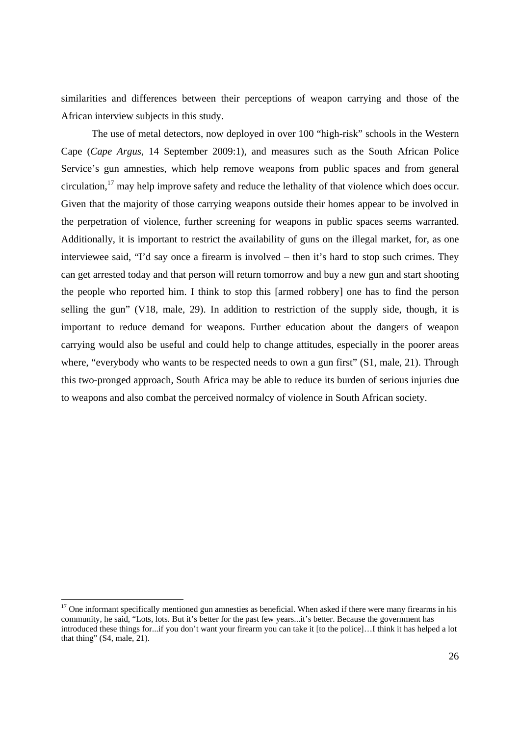similarities and differences between their perceptions of weapon carrying and those of the African interview subjects in this study.

The use of metal detectors, now deployed in over 100 "high-risk" schools in the Western Cape (*Cape Argus*, 14 September 2009:1), and measures such as the South African Police Service's gun amnesties, which help remove weapons from public spaces and from general circulation, $17$  may help improve safety and reduce the lethality of that violence which does occur. Given that the majority of those carrying weapons outside their homes appear to be involved in the perpetration of violence, further screening for weapons in public spaces seems warranted. Additionally, it is important to restrict the availability of guns on the illegal market, for, as one interviewee said, "I'd say once a firearm is involved – then it's hard to stop such crimes. They can get arrested today and that person will return tomorrow and buy a new gun and start shooting the people who reported him. I think to stop this [armed robbery] one has to find the person selling the gun" (V18, male, 29). In addition to restriction of the supply side, though, it is important to reduce demand for weapons. Further education about the dangers of weapon carrying would also be useful and could help to change attitudes, especially in the poorer areas where, "everybody who wants to be respected needs to own a gun first" (S1, male, 21). Through this two-pronged approach, South Africa may be able to reduce its burden of serious injuries due to weapons and also combat the perceived normalcy of violence in South African society.

 $17$  One informant specifically mentioned gun amnesties as beneficial. When asked if there were many firearms in his community, he said, "Lots, lots. But it's better for the past few years...it's better. Because the government has introduced these things for...if you don't want your firearm you can take it [to the police]…I think it has helped a lot that thing" (S4, male, 21).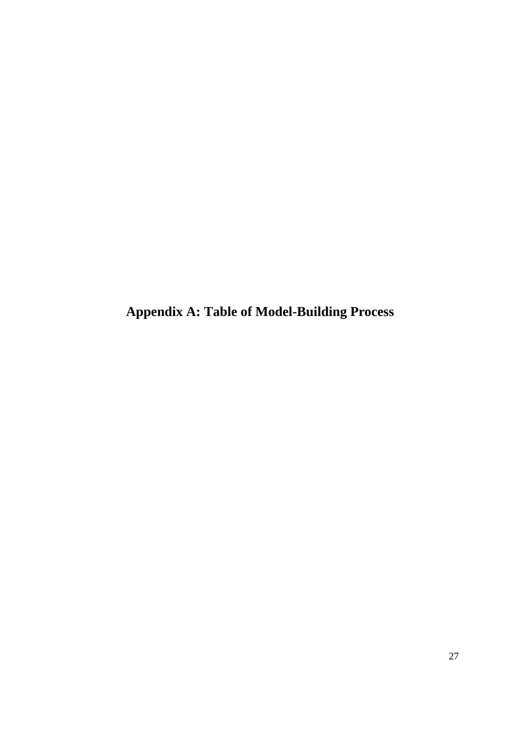**Appendix A: Table of Model-Building Process**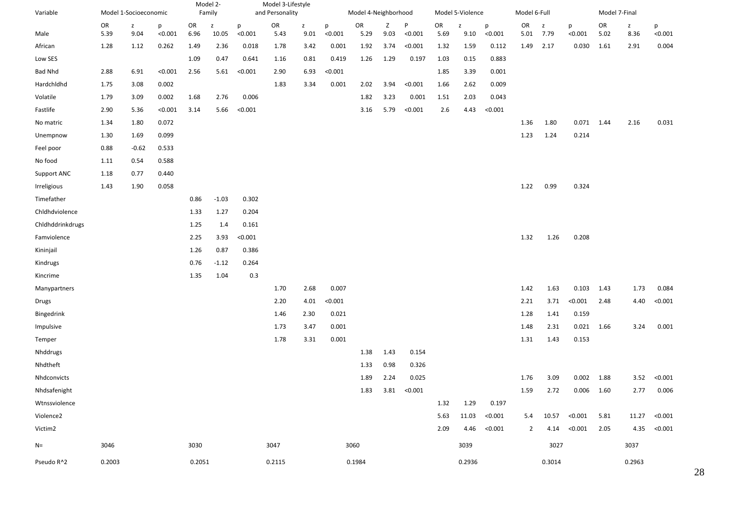| Variable         |            | Model 1-Socioeconomic |              | Model 2-<br>Family |            |              | Model 3-Lifestyle<br>and Personality |           |              | Model 4-Neighborhood |           |              |            | Model 5-Violence    |              | Model 6-Full   |                      |              | Model 7-Final |           |                   |
|------------------|------------|-----------------------|--------------|--------------------|------------|--------------|--------------------------------------|-----------|--------------|----------------------|-----------|--------------|------------|---------------------|--------------|----------------|----------------------|--------------|---------------|-----------|-------------------|
| Male             | OR<br>5.39 | z<br>9.04             | р<br>< 0.001 | OR<br>6.96         | z<br>10.05 | p<br>< 0.001 | OR<br>5.43                           | z<br>9.01 | p<br>< 0.001 | OR<br>5.29           | z<br>9.03 | P<br>< 0.001 | OR<br>5.69 | $\mathsf Z$<br>9.10 | p<br>< 0.001 | OR<br>5.01     | $\mathbf{z}$<br>7.79 | p<br>< 0.001 | OR<br>5.02    | z<br>8.36 | p<br>< 0.001      |
| African          | 1.28       | 1.12                  | 0.262        | 1.49               | 2.36       | 0.018        | 1.78                                 | 3.42      | 0.001        | 1.92                 | 3.74      | < 0.001      | 1.32       | 1.59                | 0.112        | 1.49           | 2.17                 | 0.030        | 1.61          | 2.91      | 0.004             |
| Low SES          |            |                       |              | 1.09               | 0.47       | 0.641        | 1.16                                 | 0.81      | 0.419        | 1.26                 | 1.29      | 0.197        | 1.03       | 0.15                | 0.883        |                |                      |              |               |           |                   |
| <b>Bad Nhd</b>   | 2.88       | 6.91                  | < 0.001      | 2.56               | 5.61       | < 0.001      | 2.90                                 | 6.93      | < 0.001      |                      |           |              | 1.85       | 3.39                | 0.001        |                |                      |              |               |           |                   |
| Hardchldhd       | 1.75       | 3.08                  | 0.002        |                    |            |              | 1.83                                 | 3.34      | 0.001        | 2.02                 | 3.94      | < 0.001      | 1.66       | 2.62                | 0.009        |                |                      |              |               |           |                   |
| Volatile         | 1.79       | 3.09                  | 0.002        | 1.68               | 2.76       | 0.006        |                                      |           |              | 1.82                 | 3.23      | 0.001        | 1.51       | 2.03                | 0.043        |                |                      |              |               |           |                   |
| Fastlife         | 2.90       | 5.36                  | < 0.001      | 3.14               | 5.66       | < 0.001      |                                      |           |              | 3.16                 | 5.79      | < 0.001      | 2.6        | 4.43                | < 0.001      |                |                      |              |               |           |                   |
| No matric        | 1.34       | 1.80                  | 0.072        |                    |            |              |                                      |           |              |                      |           |              |            |                     |              | 1.36           | 1.80                 | $0.071$ 1.44 |               | 2.16      | 0.031             |
| Unempnow         | 1.30       | 1.69                  | 0.099        |                    |            |              |                                      |           |              |                      |           |              |            |                     |              | 1.23           | 1.24                 | 0.214        |               |           |                   |
| Feel poor        | 0.88       | $-0.62$               | 0.533        |                    |            |              |                                      |           |              |                      |           |              |            |                     |              |                |                      |              |               |           |                   |
| No food          | 1.11       | 0.54                  | 0.588        |                    |            |              |                                      |           |              |                      |           |              |            |                     |              |                |                      |              |               |           |                   |
| Support ANC      | 1.18       | 0.77                  | 0.440        |                    |            |              |                                      |           |              |                      |           |              |            |                     |              |                |                      |              |               |           |                   |
| Irreligious      | 1.43       | 1.90                  | 0.058        |                    |            |              |                                      |           |              |                      |           |              |            |                     |              | 1.22           | 0.99                 | 0.324        |               |           |                   |
| Timefather       |            |                       |              | 0.86               | $-1.03$    | 0.302        |                                      |           |              |                      |           |              |            |                     |              |                |                      |              |               |           |                   |
| Chldhdviolence   |            |                       |              | 1.33               | 1.27       | 0.204        |                                      |           |              |                      |           |              |            |                     |              |                |                      |              |               |           |                   |
| Chldhddrinkdrugs |            |                       |              | 1.25               | 1.4        | 0.161        |                                      |           |              |                      |           |              |            |                     |              |                |                      |              |               |           |                   |
| Famviolence      |            |                       |              | 2.25               | 3.93       | < 0.001      |                                      |           |              |                      |           |              |            |                     |              | 1.32           | 1.26                 | 0.208        |               |           |                   |
| Kininjail        |            |                       |              | 1.26               | 0.87       | 0.386        |                                      |           |              |                      |           |              |            |                     |              |                |                      |              |               |           |                   |
| Kindrugs         |            |                       |              | 0.76               | $-1.12$    | 0.264        |                                      |           |              |                      |           |              |            |                     |              |                |                      |              |               |           |                   |
| Kincrime         |            |                       |              | 1.35               | 1.04       | 0.3          |                                      |           |              |                      |           |              |            |                     |              |                |                      |              |               |           |                   |
| Manypartners     |            |                       |              |                    |            |              | 1.70                                 | 2.68      | 0.007        |                      |           |              |            |                     |              | 1.42           | 1.63                 | 0.103        | 1.43          | 1.73      | 0.084             |
| <b>Drugs</b>     |            |                       |              |                    |            |              | 2.20                                 | 4.01      | < 0.001      |                      |           |              |            |                     |              | 2.21           | 3.71                 | < 0.001      | 2.48          | 4.40      | < 0.001           |
| Bingedrink       |            |                       |              |                    |            |              | 1.46                                 | 2.30      | 0.021        |                      |           |              |            |                     |              | 1.28           | 1.41                 | 0.159        |               |           |                   |
| Impulsive        |            |                       |              |                    |            |              | 1.73                                 | 3.47      | 0.001        |                      |           |              |            |                     |              | 1.48           | 2.31                 | 0.021        | 1.66          | 3.24      | 0.001             |
| Temper           |            |                       |              |                    |            |              | 1.78                                 | 3.31      | 0.001        |                      |           |              |            |                     |              | 1.31           | 1.43                 | 0.153        |               |           |                   |
| Nhddrugs         |            |                       |              |                    |            |              |                                      |           |              | 1.38                 | 1.43      | 0.154        |            |                     |              |                |                      |              |               |           |                   |
| Nhdtheft         |            |                       |              |                    |            |              |                                      |           |              | 1.33                 | 0.98      | 0.326        |            |                     |              |                |                      |              |               |           |                   |
| Nhdconvicts      |            |                       |              |                    |            |              |                                      |           |              | 1.89                 | 2.24      | 0.025        |            |                     |              | 1.76           | 3.09                 | $0.002$ 1.88 |               | 3.52      | < 0.001           |
| Nhdsafenight     |            |                       |              |                    |            |              |                                      |           |              | 1.83                 | 3.81      | < 0.001      |            |                     |              | 1.59           | 2.72                 | $0.006$ 1.60 |               | 2.77      | 0.006             |
| Wtnssviolence    |            |                       |              |                    |            |              |                                      |           |              |                      |           |              | 1.32       | 1.29                | 0.197        |                |                      |              |               |           |                   |
| Violence2        |            |                       |              |                    |            |              |                                      |           |              |                      |           |              | 5.63       | 11.03               | < 0.001      | 5.4            | 10.57                | < 0.001      | 5.81          | 11.27     | < 0.001           |
| Victim2          |            |                       |              |                    |            |              |                                      |           |              |                      |           |              | 2.09       | 4.46                | < 0.001      | $\overline{2}$ | 4.14                 | < 0.001      | 2.05          |           | $4.35 \t < 0.001$ |
| $N=$             | 3046       |                       |              | 3030               |            |              | 3047                                 |           |              | 3060                 |           |              |            | 3039                |              |                | 3027                 |              |               | 3037      |                   |
| Pseudo R^2       | 0.2003     |                       |              | 0.2051             |            |              | 0.2115                               |           |              | 0.1984               |           |              |            | 0.2936              |              |                | 0.3014               |              |               | 0.2963    |                   |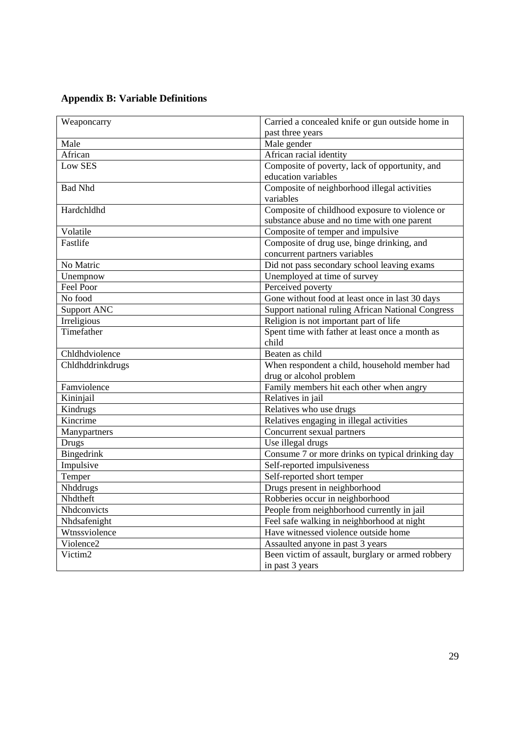| <b>Appendix B: Variable Definitions</b> |  |  |  |  |
|-----------------------------------------|--|--|--|--|
|-----------------------------------------|--|--|--|--|

| Weaponcarry           | Carried a concealed knife or gun outside home in  |
|-----------------------|---------------------------------------------------|
|                       | past three years                                  |
| Male                  | Male gender                                       |
| African               | African racial identity                           |
| Low SES               | Composite of poverty, lack of opportunity, and    |
|                       | education variables                               |
| <b>Bad Nhd</b>        | Composite of neighborhood illegal activities      |
|                       | variables                                         |
| Hardchldhd            | Composite of childhood exposure to violence or    |
|                       | substance abuse and no time with one parent       |
| Volatile              | Composite of temper and impulsive                 |
| Fastlife              | Composite of drug use, binge drinking, and        |
|                       | concurrent partners variables                     |
| No Matric             | Did not pass secondary school leaving exams       |
| Unempnow              | Unemployed at time of survey                      |
| Feel Poor             | Perceived poverty                                 |
| No food               | Gone without food at least once in last 30 days   |
| <b>Support ANC</b>    | Support national ruling African National Congress |
| Irreligious           | Religion is not important part of life            |
| Timefather            | Spent time with father at least once a month as   |
|                       | child                                             |
| Chldhdviolence        | Beaten as child                                   |
| Chldhddrinkdrugs      | When respondent a child, household member had     |
|                       | drug or alcohol problem                           |
| Famviolence           | Family members hit each other when angry          |
| Kininjail             | Relatives in jail                                 |
| Kindrugs              | Relatives who use drugs                           |
| Kincrime              | Relatives engaging in illegal activities          |
| Manypartners          | Concurrent sexual partners                        |
| <b>Drugs</b>          | Use illegal drugs                                 |
| Bingedrink            | Consume 7 or more drinks on typical drinking day  |
| Impulsive             | Self-reported impulsiveness                       |
| Temper                | Self-reported short temper                        |
| Nhddrugs              | Drugs present in neighborhood                     |
| Nhdtheft              | Robberies occur in neighborhood                   |
| Nhdconvicts           | People from neighborhood currently in jail        |
| Nhdsafenight          | Feel safe walking in neighborhood at night        |
| Wtnssviolence         | Have witnessed violence outside home              |
| Violence <sub>2</sub> | Assaulted anyone in past 3 years                  |
| Victim <sub>2</sub>   | Been victim of assault, burglary or armed robbery |
|                       | in past 3 years                                   |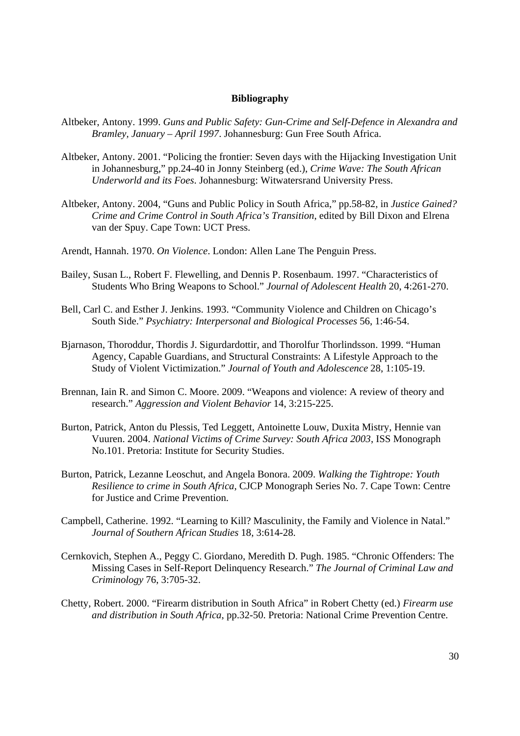#### **Bibliography**

- Altbeker, Antony. 1999. *Guns and Public Safety: Gun-Crime and Self-Defence in Alexandra and Bramley, January – April 1997*. Johannesburg: Gun Free South Africa.
- Altbeker, Antony. 2001. "Policing the frontier: Seven days with the Hijacking Investigation Unit in Johannesburg," pp.24-40 in Jonny Steinberg (ed.), *Crime Wave: The South African Underworld and its Foes*. Johannesburg: Witwatersrand University Press.
- Altbeker, Antony. 2004, "Guns and Public Policy in South Africa," pp.58-82, in *Justice Gained? Crime and Crime Control in South Africa's Transition*, edited by Bill Dixon and Elrena van der Spuy. Cape Town: UCT Press.
- Arendt, Hannah. 1970. *On Violence*. London: Allen Lane The Penguin Press.
- Bailey, Susan L., Robert F. Flewelling, and Dennis P. Rosenbaum. 1997. "Characteristics of Students Who Bring Weapons to School." *Journal of Adolescent Health* 20, 4:261-270.
- Bell, Carl C. and Esther J. Jenkins. 1993. "Community Violence and Children on Chicago's South Side." *Psychiatry: Interpersonal and Biological Processes* 56, 1:46-54.
- Bjarnason, Thoroddur, Thordis J. Sigurdardottir, and Thorolfur Thorlindsson. 1999. "Human Agency, Capable Guardians, and Structural Constraints: A Lifestyle Approach to the Study of Violent Victimization." *Journal of Youth and Adolescence* 28, 1:105-19.
- Brennan, Iain R. and Simon C. Moore. 2009. "Weapons and violence: A review of theory and research." *Aggression and Violent Behavior* 14, 3:215-225.
- Burton, Patrick, Anton du Plessis, Ted Leggett, Antoinette Louw, Duxita Mistry, Hennie van Vuuren. 2004. *National Victims of Crime Survey: South Africa 2003*, ISS Monograph No.101. Pretoria: Institute for Security Studies.
- Burton, Patrick, Lezanne Leoschut, and Angela Bonora. 2009. *Walking the Tightrope: Youth Resilience to crime in South Africa*, CJCP Monograph Series No. 7. Cape Town: Centre for Justice and Crime Prevention.
- Campbell, Catherine. 1992. "Learning to Kill? Masculinity, the Family and Violence in Natal." *Journal of Southern African Studies* 18, 3:614-28.
- Cernkovich, Stephen A., Peggy C. Giordano, Meredith D. Pugh. 1985. "Chronic Offenders: The Missing Cases in Self-Report Delinquency Research." *The Journal of Criminal Law and Criminology* 76, 3:705-32.
- Chetty, Robert. 2000. "Firearm distribution in South Africa" in Robert Chetty (ed.) *Firearm use and distribution in South Africa*, pp.32-50. Pretoria: National Crime Prevention Centre.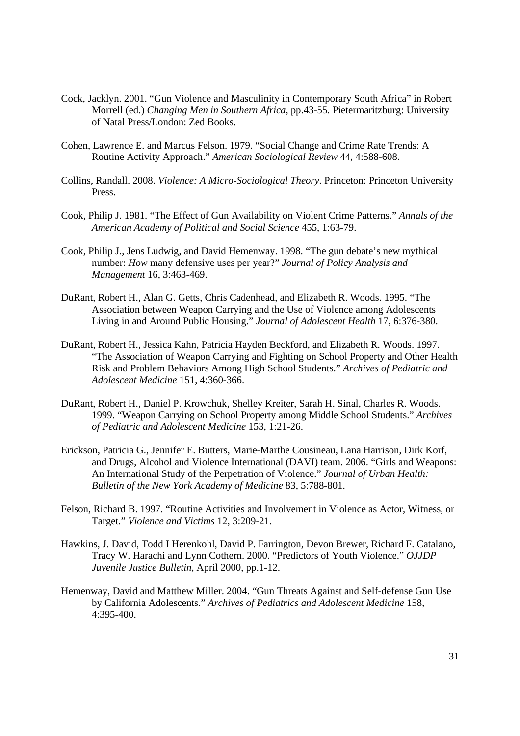- Cock, Jacklyn. 2001. "Gun Violence and Masculinity in Contemporary South Africa" in Robert Morrell (ed.) *Changing Men in Southern Africa*, pp.43-55. Pietermaritzburg: University of Natal Press/London: Zed Books.
- Cohen, Lawrence E. and Marcus Felson. 1979. "Social Change and Crime Rate Trends: A Routine Activity Approach." *American Sociological Review* 44, 4:588-608.
- Collins, Randall. 2008. *Violence: A Micro-Sociological Theory*. Princeton: Princeton University Press.
- Cook, Philip J. 1981. "The Effect of Gun Availability on Violent Crime Patterns." *Annals of the American Academy of Political and Social Science* 455, 1:63-79.
- Cook, Philip J., Jens Ludwig, and David Hemenway. 1998. "The gun debate's new mythical number: *How* many defensive uses per year?" *Journal of Policy Analysis and Management* 16, 3:463-469.
- DuRant, Robert H., Alan G. Getts, Chris Cadenhead, and Elizabeth R. Woods. 1995. "The Association between Weapon Carrying and the Use of Violence among Adolescents Living in and Around Public Housing." *Journal of Adolescent Health* 17, 6:376-380.
- DuRant, Robert H., Jessica Kahn, Patricia Hayden Beckford, and Elizabeth R. Woods. 1997. "The Association of Weapon Carrying and Fighting on School Property and Other Health Risk and Problem Behaviors Among High School Students." *Archives of Pediatric and Adolescent Medicine* 151, 4:360-366.
- DuRant, Robert H., Daniel P. Krowchuk, Shelley Kreiter, Sarah H. Sinal, Charles R. Woods. 1999. "Weapon Carrying on School Property among Middle School Students." *Archives of Pediatric and Adolescent Medicine* 153, 1:21-26.
- Erickson, Patricia G., Jennifer E. Butters, Marie-Marthe Cousineau, Lana Harrison, Dirk Korf, and Drugs, Alcohol and Violence International (DAVI) team. 2006. "Girls and Weapons: An International Study of the Perpetration of Violence." *Journal of Urban Health: Bulletin of the New York Academy of Medicine* 83, 5:788-801.
- Felson, Richard B. 1997. "Routine Activities and Involvement in Violence as Actor, Witness, or Target." *Violence and Victims* 12, 3:209-21.
- Hawkins, J. David, Todd I Herenkohl, David P. Farrington, Devon Brewer, Richard F. Catalano, Tracy W. Harachi and Lynn Cothern. 2000. "Predictors of Youth Violence." *OJJDP Juvenile Justice Bulletin*, April 2000, pp.1-12.
- Hemenway, David and Matthew Miller. 2004. "Gun Threats Against and Self-defense Gun Use by California Adolescents." *Archives of Pediatrics and Adolescent Medicine* 158, 4:395-400.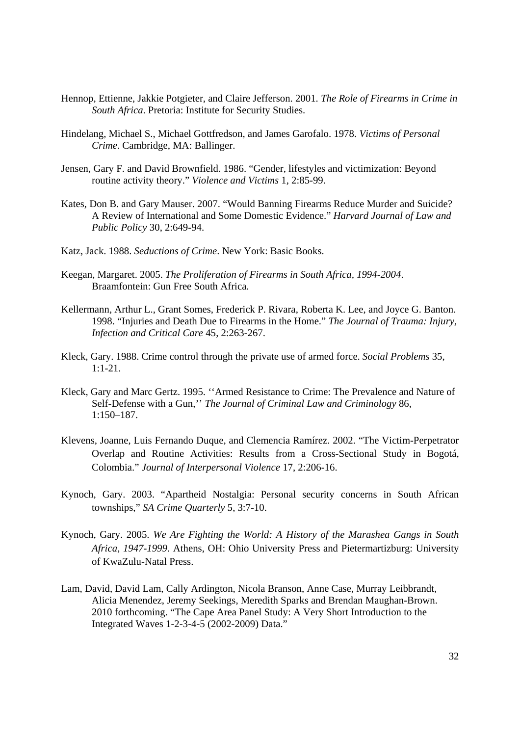- Hennop, Ettienne, Jakkie Potgieter, and Claire Jefferson. 2001. *The Role of Firearms in Crime in South Africa*. Pretoria: Institute for Security Studies.
- Hindelang, Michael S., Michael Gottfredson, and James Garofalo. 1978. *Victims of Personal Crime*. Cambridge, MA: Ballinger.
- Jensen, Gary F. and David Brownfield. 1986. "Gender, lifestyles and victimization: Beyond routine activity theory." *Violence and Victims* 1, 2:85-99.
- Kates, Don B. and Gary Mauser. 2007. "Would Banning Firearms Reduce Murder and Suicide? A Review of International and Some Domestic Evidence." *Harvard Journal of Law and Public Policy* 30, 2:649-94.
- Katz, Jack. 1988. *Seductions of Crime*. New York: Basic Books.
- Keegan, Margaret. 2005. *The Proliferation of Firearms in South Africa, 1994-2004*. Braamfontein: Gun Free South Africa.
- Kellermann, Arthur L., Grant Somes, Frederick P. Rivara, Roberta K. Lee, and Joyce G. Banton. 1998. "Injuries and Death Due to Firearms in the Home." *The Journal of Trauma: Injury, Infection and Critical Care* 45, 2:263-267.
- Kleck, Gary. 1988. Crime control through the private use of armed force. *Social Problems* 35, 1:1-21.
- Kleck, Gary and Marc Gertz. 1995. ''Armed Resistance to Crime: The Prevalence and Nature of Self-Defense with a Gun,'' *The Journal of Criminal Law and Criminology* 86, 1:150–187.
- Klevens, Joanne, Luis Fernando Duque, and Clemencia Ramírez. 2002. "The Victim-Perpetrator Overlap and Routine Activities: Results from a Cross-Sectional Study in Bogotá, Colombia." *Journal of Interpersonal Violence* 17, 2:206-16.
- Kynoch, Gary. 2003. "Apartheid Nostalgia: Personal security concerns in South African townships," *SA Crime Quarterly* 5, 3:7-10.
- Kynoch, Gary. 2005. *We Are Fighting the World: A History of the Marashea Gangs in South Africa, 1947-1999*. Athens, OH: Ohio University Press and Pietermartizburg: University of KwaZulu-Natal Press.
- Lam, David, David Lam, Cally Ardington, Nicola Branson, Anne Case, Murray Leibbrandt, Alicia Menendez, Jeremy Seekings, Meredith Sparks and Brendan Maughan-Brown. 2010 forthcoming. "The Cape Area Panel Study: A Very Short Introduction to the Integrated Waves 1-2-3-4-5 (2002-2009) Data."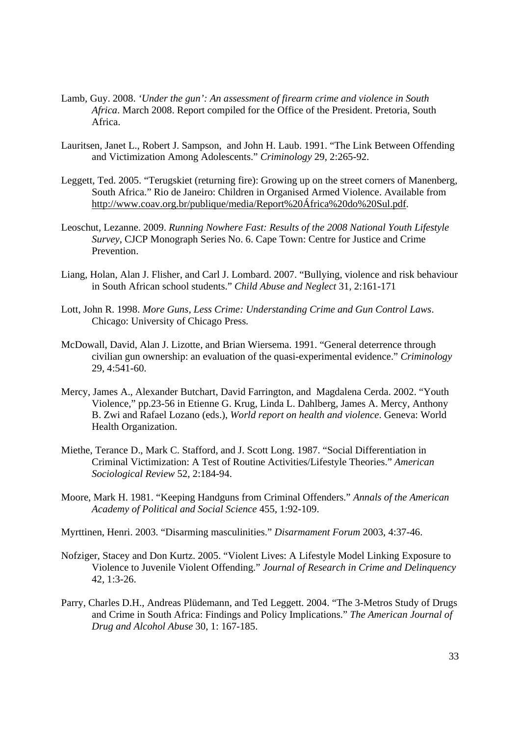- Lamb, Guy. 2008. *'Under the gun': An assessment of firearm crime and violence in South Africa*. March 2008. Report compiled for the Office of the President. Pretoria, South Africa.
- Lauritsen, Janet L., Robert J. Sampson, and John H. Laub. 1991. "The Link Between Offending and Victimization Among Adolescents." *Criminology* 29, 2:265-92.
- Leggett, Ted. 2005. "Terugskiet (returning fire): Growing up on the street corners of Manenberg, South Africa." Rio de Janeiro: Children in Organised Armed Violence. Available from http://www.coav.org.br/publique/media/Report%20África%20do%20Sul.pdf.
- Leoschut, Lezanne. 2009. *Running Nowhere Fast: Results of the 2008 National Youth Lifestyle Survey*, CJCP Monograph Series No. 6. Cape Town: Centre for Justice and Crime Prevention.
- Liang, Holan, Alan J. Flisher, and Carl J. Lombard. 2007. "Bullying, violence and risk behaviour in South African school students." *Child Abuse and Neglect* 31, 2:161-171
- Lott, John R. 1998. *More Guns, Less Crime: Understanding Crime and Gun Control Laws*. Chicago: University of Chicago Press.
- McDowall, David, Alan J. Lizotte, and Brian Wiersema. 1991. "General deterrence through civilian gun ownership: an evaluation of the quasi-experimental evidence." *Criminology* 29, 4:541-60.
- Mercy, James A., Alexander Butchart, David Farrington, and Magdalena Cerda. 2002. "Youth Violence," pp.23-56 in Etienne G. Krug, Linda L. Dahlberg, James A. Mercy, Anthony B. Zwi and Rafael Lozano (eds.), *World report on health and violence*. Geneva: World Health Organization.
- Miethe, Terance D., Mark C. Stafford, and J. Scott Long. 1987. "Social Differentiation in Criminal Victimization: A Test of Routine Activities/Lifestyle Theories." *American Sociological Review* 52, 2:184-94.
- Moore, Mark H. 1981. "Keeping Handguns from Criminal Offenders." *Annals of the American Academy of Political and Social Science* 455, 1:92-109.
- Myrttinen, Henri. 2003. "Disarming masculinities." *Disarmament Forum* 2003, 4:37-46.
- Nofziger, Stacey and Don Kurtz. 2005. "Violent Lives: A Lifestyle Model Linking Exposure to Violence to Juvenile Violent Offending." *Journal of Research in Crime and Delinquency* 42, 1:3-26.
- Parry, Charles D.H., Andreas Plüdemann, and Ted Leggett. 2004. "The 3-Metros Study of Drugs and Crime in South Africa: Findings and Policy Implications." *The American Journal of Drug and Alcohol Abuse* 30, 1: 167-185.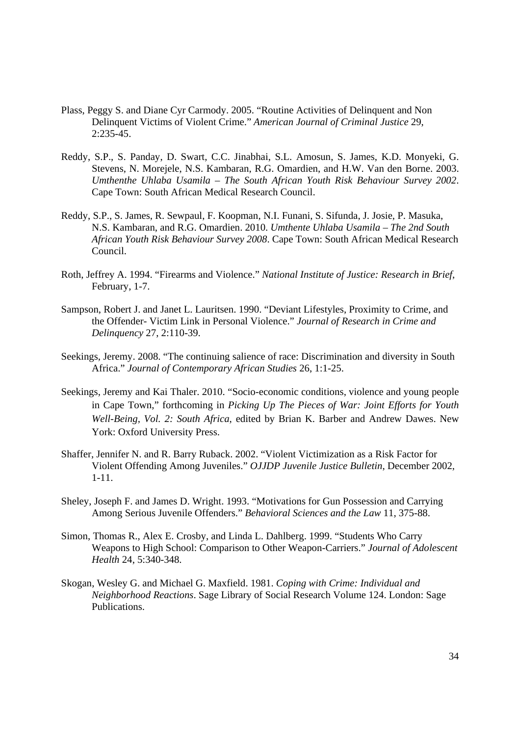- Plass, Peggy S. and Diane Cyr Carmody. 2005. "Routine Activities of Delinquent and Non Delinquent Victims of Violent Crime." *American Journal of Criminal Justice* 29,  $2:235-45$ .
- Reddy, S.P., S. Panday, D. Swart, C.C. Jinabhai, S.L. Amosun, S. James, K.D. Monyeki, G. Stevens, N. Morejele, N.S. Kambaran, R.G. Omardien, and H.W. Van den Borne. 2003. *Umthenthe Uhlaba Usamila – The South African Youth Risk Behaviour Survey 2002*. Cape Town: South African Medical Research Council.
- Reddy, S.P., S. James, R. Sewpaul, F. Koopman, N.I. Funani, S. Sifunda, J. Josie, P. Masuka, N.S. Kambaran, and R.G. Omardien. 2010. *Umthente Uhlaba Usamila – The 2nd South African Youth Risk Behaviour Survey 2008*. Cape Town: South African Medical Research Council.
- Roth, Jeffrey A. 1994. "Firearms and Violence." *National Institute of Justice: Research in Brief*, February, 1-7.
- Sampson, Robert J. and Janet L. Lauritsen. 1990. "Deviant Lifestyles, Proximity to Crime, and the Offender- Victim Link in Personal Violence." *Journal of Research in Crime and Delinquency* 27, 2:110-39.
- Seekings, Jeremy. 2008. "The continuing salience of race: Discrimination and diversity in South Africa." *Journal of Contemporary African Studies* 26, 1:1-25.
- Seekings, Jeremy and Kai Thaler. 2010. "Socio-economic conditions, violence and young people in Cape Town," forthcoming in *Picking Up The Pieces of War: Joint Efforts for Youth Well-Being, Vol. 2: South Africa*, edited by Brian K. Barber and Andrew Dawes. New York: Oxford University Press.
- Shaffer, Jennifer N. and R. Barry Ruback. 2002. "Violent Victimization as a Risk Factor for Violent Offending Among Juveniles." *OJJDP Juvenile Justice Bulletin*, December 2002, 1-11.
- Sheley, Joseph F. and James D. Wright. 1993. "Motivations for Gun Possession and Carrying Among Serious Juvenile Offenders." *Behavioral Sciences and the Law* 11, 375-88.
- Simon, Thomas R., Alex E. Crosby, and Linda L. Dahlberg. 1999. "Students Who Carry Weapons to High School: Comparison to Other Weapon-Carriers." *Journal of Adolescent Health* 24, 5:340-348.
- Skogan, Wesley G. and Michael G. Maxfield. 1981. *Coping with Crime: Individual and Neighborhood Reactions*. Sage Library of Social Research Volume 124. London: Sage Publications.